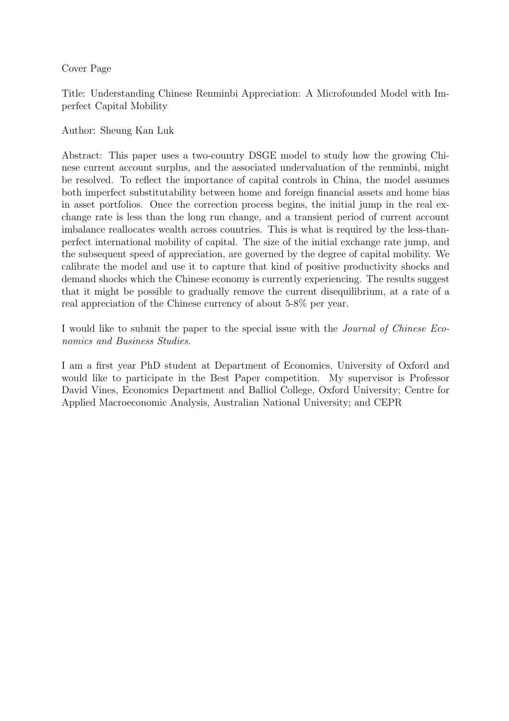Cover Page

Title: Understanding Chinese Renminbi Appreciation: A Microfounded Model with Imperfect Capital Mobility

Author: Sheung Kan Luk

Abstract: This paper uses a two-country DSGE model to study how the growing Chinese current account surplus, and the associated undervaluation of the renminbi, might be resolved. To reflect the importance of capital controls in China, the model assumes both imperfect substitutability between home and foreign financial assets and home bias in asset portfolios. Once the correction process begins, the initial jump in the real exchange rate is less than the long run change, and a transient period of current account imbalance reallocates wealth across countries. This is what is required by the less-thanperfect international mobility of capital. The size of the initial exchange rate jump, and the subsequent speed of appreciation, are governed by the degree of capital mobility. We calibrate the model and use it to capture that kind of positive productivity shocks and demand shocks which the Chinese economy is currently experiencing. The results suggest that it might be possible to gradually remove the current disequilibrium, at a rate of a real appreciation of the Chinese currency of about 5-8% per year.

I would like to submit the paper to the special issue with the Journal of Chinese Economics and Business Studies.

I am a first year PhD student at Department of Economics, University of Oxford and would like to participate in the Best Paper competition. My supervisor is Professor David Vines, Economics Department and Balliol College, Oxford University; Centre for Applied Macroeconomic Analysis, Australian National University; and CEPR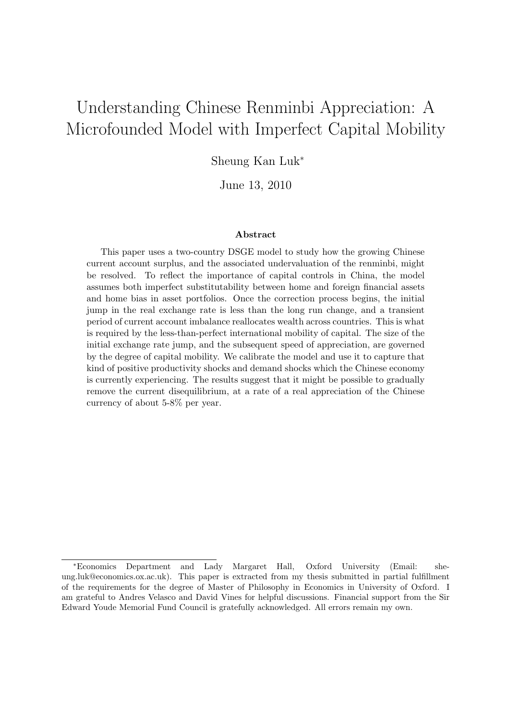# Understanding Chinese Renminbi Appreciation: A Microfounded Model with Imperfect Capital Mobility

Sheung Kan Luk<sup>∗</sup>

June 13, 2010

#### Abstract

This paper uses a two-country DSGE model to study how the growing Chinese current account surplus, and the associated undervaluation of the renminbi, might be resolved. To reflect the importance of capital controls in China, the model assumes both imperfect substitutability between home and foreign financial assets and home bias in asset portfolios. Once the correction process begins, the initial jump in the real exchange rate is less than the long run change, and a transient period of current account imbalance reallocates wealth across countries. This is what is required by the less-than-perfect international mobility of capital. The size of the initial exchange rate jump, and the subsequent speed of appreciation, are governed by the degree of capital mobility. We calibrate the model and use it to capture that kind of positive productivity shocks and demand shocks which the Chinese economy is currently experiencing. The results suggest that it might be possible to gradually remove the current disequilibrium, at a rate of a real appreciation of the Chinese currency of about 5-8% per year.

<sup>∗</sup>Economics Department and Lady Margaret Hall, Oxford University (Email: sheung.luk@economics.ox.ac.uk). This paper is extracted from my thesis submitted in partial fulfillment of the requirements for the degree of Master of Philosophy in Economics in University of Oxford. I am grateful to Andres Velasco and David Vines for helpful discussions. Financial support from the Sir Edward Youde Memorial Fund Council is gratefully acknowledged. All errors remain my own.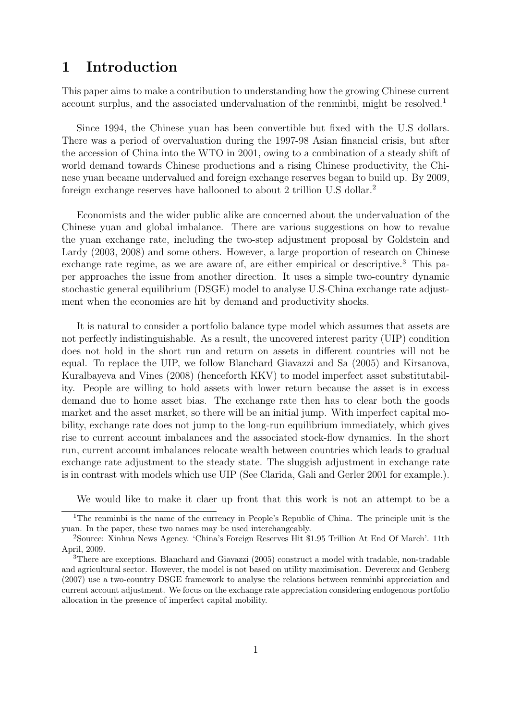## 1 Introduction

This paper aims to make a contribution to understanding how the growing Chinese current account surplus, and the associated undervaluation of the renminbi, might be resolved.<sup>1</sup>

Since 1994, the Chinese yuan has been convertible but fixed with the U.S dollars. There was a period of overvaluation during the 1997-98 Asian financial crisis, but after the accession of China into the WTO in 2001, owing to a combination of a steady shift of world demand towards Chinese productions and a rising Chinese productivity, the Chinese yuan became undervalued and foreign exchange reserves began to build up. By 2009, foreign exchange reserves have ballooned to about 2 trillion U.S dollar.<sup>2</sup>

Economists and the wider public alike are concerned about the undervaluation of the Chinese yuan and global imbalance. There are various suggestions on how to revalue the yuan exchange rate, including the two-step adjustment proposal by Goldstein and Lardy (2003, 2008) and some others. However, a large proportion of research on Chinese exchange rate regime, as we are aware of, are either empirical or descriptive.<sup>3</sup> This paper approaches the issue from another direction. It uses a simple two-country dynamic stochastic general equilibrium (DSGE) model to analyse U.S-China exchange rate adjustment when the economies are hit by demand and productivity shocks.

It is natural to consider a portfolio balance type model which assumes that assets are not perfectly indistinguishable. As a result, the uncovered interest parity (UIP) condition does not hold in the short run and return on assets in different countries will not be equal. To replace the UIP, we follow Blanchard Giavazzi and Sa (2005) and Kirsanova, Kuralbayeva and Vines (2008) (henceforth KKV) to model imperfect asset substitutability. People are willing to hold assets with lower return because the asset is in excess demand due to home asset bias. The exchange rate then has to clear both the goods market and the asset market, so there will be an initial jump. With imperfect capital mobility, exchange rate does not jump to the long-run equilibrium immediately, which gives rise to current account imbalances and the associated stock-flow dynamics. In the short run, current account imbalances relocate wealth between countries which leads to gradual exchange rate adjustment to the steady state. The sluggish adjustment in exchange rate is in contrast with models which use UIP (See Clarida, Gali and Gerler 2001 for example.).

We would like to make it claer up front that this work is not an attempt to be a

<sup>&</sup>lt;sup>1</sup>The renminbi is the name of the currency in People's Republic of China. The principle unit is the yuan. In the paper, these two names may be used interchangeably.

<sup>2</sup>Source: Xinhua News Agency. 'China's Foreign Reserves Hit \$1.95 Trillion At End Of March'. 11th April, 2009.

<sup>&</sup>lt;sup>3</sup>There are exceptions. Blanchard and Giavazzi (2005) construct a model with tradable, non-tradable and agricultural sector. However, the model is not based on utility maximisation. Devereux and Genberg (2007) use a two-country DSGE framework to analyse the relations between renminbi appreciation and current account adjustment. We focus on the exchange rate appreciation considering endogenous portfolio allocation in the presence of imperfect capital mobility.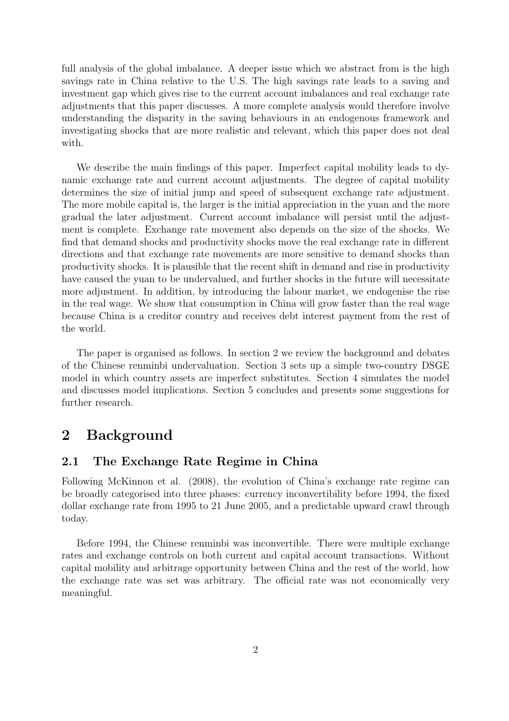full analysis of the global imbalance. A deeper issue which we abstract from is the high savings rate in China relative to the U.S. The high savings rate leads to a saving and investment gap which gives rise to the current account imbalances and real exchange rate adjustments that this paper discusses. A more complete analysis would therefore involve understanding the disparity in the saving behaviours in an endogenous framework and investigating shocks that are more realistic and relevant, which this paper does not deal with.

We describe the main findings of this paper. Imperfect capital mobility leads to dynamic exchange rate and current account adjustments. The degree of capital mobility determines the size of initial jump and speed of subsequent exchange rate adjustment. The more mobile capital is, the larger is the initial appreciation in the yuan and the more gradual the later adjustment. Current account imbalance will persist until the adjustment is complete. Exchange rate movement also depends on the size of the shocks. We find that demand shocks and productivity shocks move the real exchange rate in different directions and that exchange rate movements are more sensitive to demand shocks than productivity shocks. It is plausible that the recent shift in demand and rise in productivity have caused the yuan to be undervalued, and further shocks in the future will necessitate more adjustment. In addition, by introducing the labour market, we endogenise the rise in the real wage. We show that consumption in China will grow faster than the real wage because China is a creditor country and receives debt interest payment from the rest of the world.

The paper is organised as follows. In section 2 we review the background and debates of the Chinese renminbi undervaluation. Section 3 sets up a simple two-country DSGE model in which country assets are imperfect substitutes. Section 4 simulates the model and discusses model implications. Section 5 concludes and presents some suggestions for further research.

## 2 Background

## 2.1 The Exchange Rate Regime in China

Following McKinnon et al. (2008), the evolution of China's exchange rate regime can be broadly categorised into three phases: currency inconvertibility before 1994, the fixed dollar exchange rate from 1995 to 21 June 2005, and a predictable upward crawl through today.

Before 1994, the Chinese renminbi was inconvertible. There were multiple exchange rates and exchange controls on both current and capital account transactions. Without capital mobility and arbitrage opportunity between China and the rest of the world, how the exchange rate was set was arbitrary. The official rate was not economically very meaningful.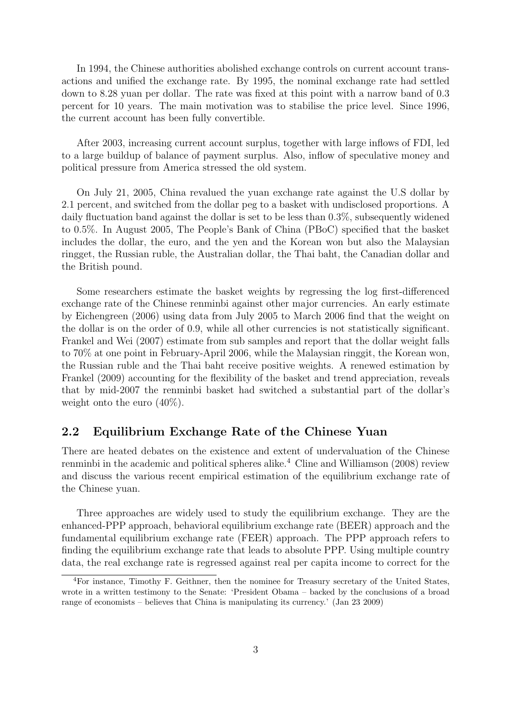In 1994, the Chinese authorities abolished exchange controls on current account transactions and unified the exchange rate. By 1995, the nominal exchange rate had settled down to 8.28 yuan per dollar. The rate was fixed at this point with a narrow band of 0.3 percent for 10 years. The main motivation was to stabilise the price level. Since 1996, the current account has been fully convertible.

After 2003, increasing current account surplus, together with large inflows of FDI, led to a large buildup of balance of payment surplus. Also, inflow of speculative money and political pressure from America stressed the old system.

On July 21, 2005, China revalued the yuan exchange rate against the U.S dollar by 2.1 percent, and switched from the dollar peg to a basket with undisclosed proportions. A daily fluctuation band against the dollar is set to be less than 0.3%, subsequently widened to 0.5%. In August 2005, The People's Bank of China (PBoC) specified that the basket includes the dollar, the euro, and the yen and the Korean won but also the Malaysian ringget, the Russian ruble, the Australian dollar, the Thai baht, the Canadian dollar and the British pound.

Some researchers estimate the basket weights by regressing the log first-differenced exchange rate of the Chinese renminbi against other major currencies. An early estimate by Eichengreen (2006) using data from July 2005 to March 2006 find that the weight on the dollar is on the order of 0.9, while all other currencies is not statistically significant. Frankel and Wei (2007) estimate from sub samples and report that the dollar weight falls to 70% at one point in February-April 2006, while the Malaysian ringgit, the Korean won, the Russian ruble and the Thai baht receive positive weights. A renewed estimation by Frankel (2009) accounting for the flexibility of the basket and trend appreciation, reveals that by mid-2007 the renminbi basket had switched a substantial part of the dollar's weight onto the euro (40%).

## 2.2 Equilibrium Exchange Rate of the Chinese Yuan

There are heated debates on the existence and extent of undervaluation of the Chinese renminbi in the academic and political spheres alike.<sup>4</sup> Cline and Williamson  $(2008)$  review and discuss the various recent empirical estimation of the equilibrium exchange rate of the Chinese yuan.

Three approaches are widely used to study the equilibrium exchange. They are the enhanced-PPP approach, behavioral equilibrium exchange rate (BEER) approach and the fundamental equilibrium exchange rate (FEER) approach. The PPP approach refers to finding the equilibrium exchange rate that leads to absolute PPP. Using multiple country data, the real exchange rate is regressed against real per capita income to correct for the

<sup>4</sup>For instance, Timothy F. Geithner, then the nominee for Treasury secretary of the United States, wrote in a written testimony to the Senate: 'President Obama – backed by the conclusions of a broad range of economists – believes that China is manipulating its currency.' (Jan 23 2009)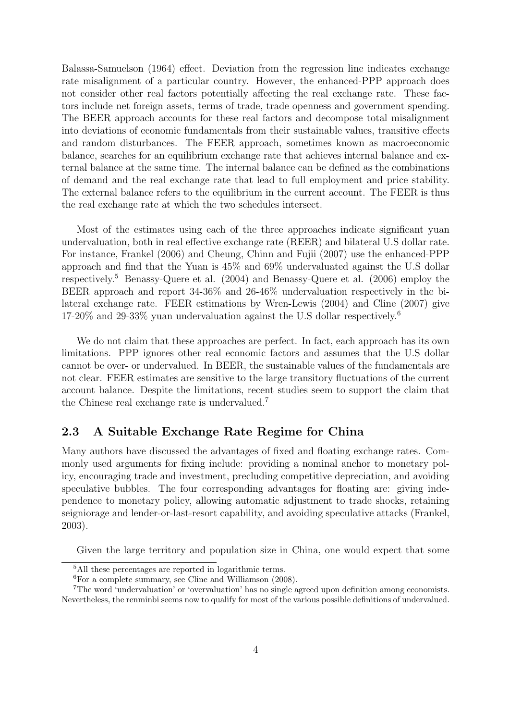Balassa-Samuelson (1964) effect. Deviation from the regression line indicates exchange rate misalignment of a particular country. However, the enhanced-PPP approach does not consider other real factors potentially affecting the real exchange rate. These factors include net foreign assets, terms of trade, trade openness and government spending. The BEER approach accounts for these real factors and decompose total misalignment into deviations of economic fundamentals from their sustainable values, transitive effects and random disturbances. The FEER approach, sometimes known as macroeconomic balance, searches for an equilibrium exchange rate that achieves internal balance and external balance at the same time. The internal balance can be defined as the combinations of demand and the real exchange rate that lead to full employment and price stability. The external balance refers to the equilibrium in the current account. The FEER is thus the real exchange rate at which the two schedules intersect.

Most of the estimates using each of the three approaches indicate significant yuan undervaluation, both in real effective exchange rate (REER) and bilateral U.S dollar rate. For instance, Frankel (2006) and Cheung, Chinn and Fujii (2007) use the enhanced-PPP approach and find that the Yuan is 45% and 69% undervaluated against the U.S dollar respectively.<sup>5</sup> Benassy-Quere et al. (2004) and Benassy-Quere et al. (2006) employ the BEER approach and report 34-36% and 26-46% undervaluation respectively in the bilateral exchange rate. FEER estimations by Wren-Lewis (2004) and Cline (2007) give 17-20% and 29-33% yuan undervaluation against the U.S dollar respectively.<sup>6</sup>

We do not claim that these approaches are perfect. In fact, each approach has its own limitations. PPP ignores other real economic factors and assumes that the U.S dollar cannot be over- or undervalued. In BEER, the sustainable values of the fundamentals are not clear. FEER estimates are sensitive to the large transitory fluctuations of the current account balance. Despite the limitations, recent studies seem to support the claim that the Chinese real exchange rate is undervalued.<sup>7</sup>

## 2.3 A Suitable Exchange Rate Regime for China

Many authors have discussed the advantages of fixed and floating exchange rates. Commonly used arguments for fixing include: providing a nominal anchor to monetary policy, encouraging trade and investment, precluding competitive depreciation, and avoiding speculative bubbles. The four corresponding advantages for floating are: giving independence to monetary policy, allowing automatic adjustment to trade shocks, retaining seigniorage and lender-or-last-resort capability, and avoiding speculative attacks (Frankel, 2003).

Given the large territory and population size in China, one would expect that some

<sup>5</sup>All these percentages are reported in logarithmic terms.

 ${}^{6}$ For a complete summary, see Cline and Williamson (2008).

<sup>7</sup>The word 'undervaluation' or 'overvaluation' has no single agreed upon definition among economists. Nevertheless, the renminbi seems now to qualify for most of the various possible definitions of undervalued.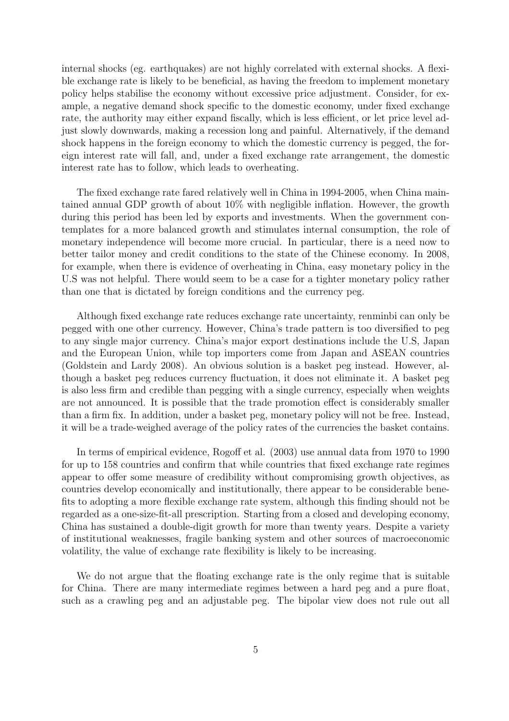internal shocks (eg. earthquakes) are not highly correlated with external shocks. A flexible exchange rate is likely to be beneficial, as having the freedom to implement monetary policy helps stabilise the economy without excessive price adjustment. Consider, for example, a negative demand shock specific to the domestic economy, under fixed exchange rate, the authority may either expand fiscally, which is less efficient, or let price level adjust slowly downwards, making a recession long and painful. Alternatively, if the demand shock happens in the foreign economy to which the domestic currency is pegged, the foreign interest rate will fall, and, under a fixed exchange rate arrangement, the domestic interest rate has to follow, which leads to overheating.

The fixed exchange rate fared relatively well in China in 1994-2005, when China maintained annual GDP growth of about 10% with negligible inflation. However, the growth during this period has been led by exports and investments. When the government contemplates for a more balanced growth and stimulates internal consumption, the role of monetary independence will become more crucial. In particular, there is a need now to better tailor money and credit conditions to the state of the Chinese economy. In 2008, for example, when there is evidence of overheating in China, easy monetary policy in the U.S was not helpful. There would seem to be a case for a tighter monetary policy rather than one that is dictated by foreign conditions and the currency peg.

Although fixed exchange rate reduces exchange rate uncertainty, renminbi can only be pegged with one other currency. However, China's trade pattern is too diversified to peg to any single major currency. China's major export destinations include the U.S, Japan and the European Union, while top importers come from Japan and ASEAN countries (Goldstein and Lardy 2008). An obvious solution is a basket peg instead. However, although a basket peg reduces currency fluctuation, it does not eliminate it. A basket peg is also less firm and credible than pegging with a single currency, especially when weights are not announced. It is possible that the trade promotion effect is considerably smaller than a firm fix. In addition, under a basket peg, monetary policy will not be free. Instead, it will be a trade-weighed average of the policy rates of the currencies the basket contains.

In terms of empirical evidence, Rogoff et al. (2003) use annual data from 1970 to 1990 for up to 158 countries and confirm that while countries that fixed exchange rate regimes appear to offer some measure of credibility without compromising growth objectives, as countries develop economically and institutionally, there appear to be considerable benefits to adopting a more flexible exchange rate system, although this finding should not be regarded as a one-size-fit-all prescription. Starting from a closed and developing economy, China has sustained a double-digit growth for more than twenty years. Despite a variety of institutional weaknesses, fragile banking system and other sources of macroeconomic volatility, the value of exchange rate flexibility is likely to be increasing.

We do not argue that the floating exchange rate is the only regime that is suitable for China. There are many intermediate regimes between a hard peg and a pure float, such as a crawling peg and an adjustable peg. The bipolar view does not rule out all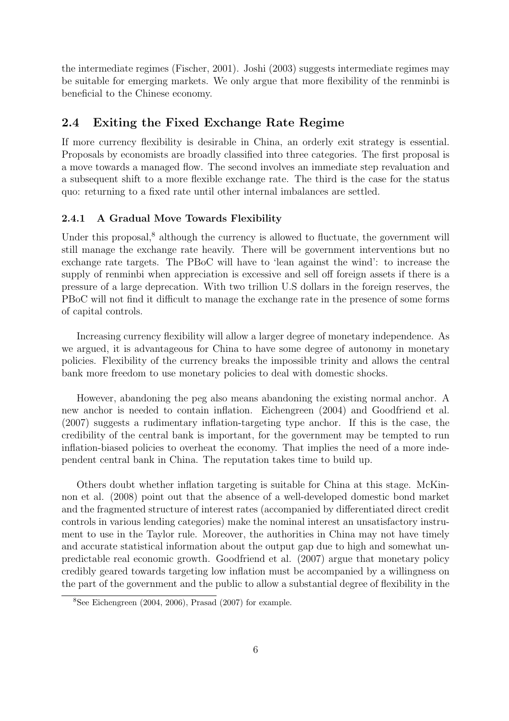the intermediate regimes (Fischer, 2001). Joshi (2003) suggests intermediate regimes may be suitable for emerging markets. We only argue that more flexibility of the renminbi is beneficial to the Chinese economy.

## 2.4 Exiting the Fixed Exchange Rate Regime

If more currency flexibility is desirable in China, an orderly exit strategy is essential. Proposals by economists are broadly classified into three categories. The first proposal is a move towards a managed flow. The second involves an immediate step revaluation and a subsequent shift to a more flexible exchange rate. The third is the case for the status quo: returning to a fixed rate until other internal imbalances are settled.

#### 2.4.1 A Gradual Move Towards Flexibility

Under this proposal,<sup>8</sup> although the currency is allowed to fluctuate, the government will still manage the exchange rate heavily. There will be government interventions but no exchange rate targets. The PBoC will have to 'lean against the wind': to increase the supply of renminbi when appreciation is excessive and sell off foreign assets if there is a pressure of a large deprecation. With two trillion U.S dollars in the foreign reserves, the PBoC will not find it difficult to manage the exchange rate in the presence of some forms of capital controls.

Increasing currency flexibility will allow a larger degree of monetary independence. As we argued, it is advantageous for China to have some degree of autonomy in monetary policies. Flexibility of the currency breaks the impossible trinity and allows the central bank more freedom to use monetary policies to deal with domestic shocks.

However, abandoning the peg also means abandoning the existing normal anchor. A new anchor is needed to contain inflation. Eichengreen (2004) and Goodfriend et al. (2007) suggests a rudimentary inflation-targeting type anchor. If this is the case, the credibility of the central bank is important, for the government may be tempted to run inflation-biased policies to overheat the economy. That implies the need of a more independent central bank in China. The reputation takes time to build up.

Others doubt whether inflation targeting is suitable for China at this stage. McKinnon et al. (2008) point out that the absence of a well-developed domestic bond market and the fragmented structure of interest rates (accompanied by differentiated direct credit controls in various lending categories) make the nominal interest an unsatisfactory instrument to use in the Taylor rule. Moreover, the authorities in China may not have timely and accurate statistical information about the output gap due to high and somewhat unpredictable real economic growth. Goodfriend et al. (2007) argue that monetary policy credibly geared towards targeting low inflation must be accompanied by a willingness on the part of the government and the public to allow a substantial degree of flexibility in the

<sup>&</sup>lt;sup>8</sup>See Eichengreen (2004, 2006), Prasad (2007) for example.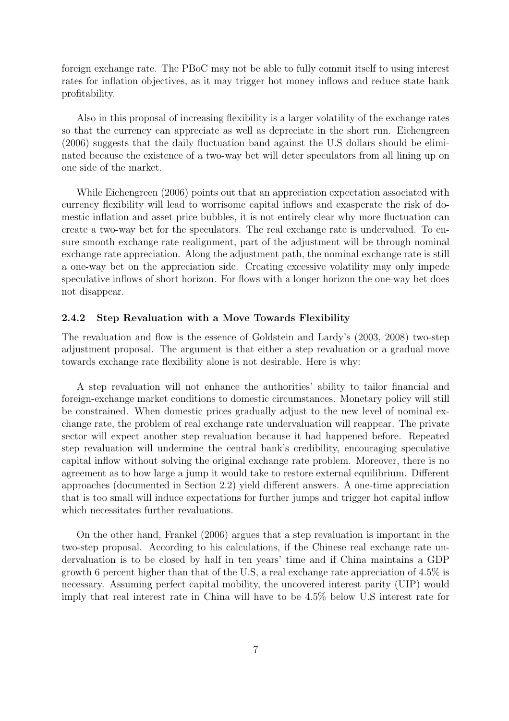foreign exchange rate. The PBoC may not be able to fully commit itself to using interest rates for inflation objectives, as it may trigger hot money inflows and reduce state bank profitability.

Also in this proposal of increasing flexibility is a larger volatility of the exchange rates so that the currency can appreciate as well as depreciate in the short run. Eichengreen (2006) suggests that the daily fluctuation band against the U.S dollars should be eliminated because the existence of a two-way bet will deter speculators from all lining up on one side of the market.

While Eichengreen (2006) points out that an appreciation expectation associated with currency flexibility will lead to worrisome capital inflows and exasperate the risk of domestic inflation and asset price bubbles, it is not entirely clear why more fluctuation can create a two-way bet for the speculators. The real exchange rate is undervalued. To ensure smooth exchange rate realignment, part of the adjustment will be through nominal exchange rate appreciation. Along the adjustment path, the nominal exchange rate is still a one-way bet on the appreciation side. Creating excessive volatility may only impede speculative inflows of short horizon. For flows with a longer horizon the one-way bet does not disappear.

#### 2.4.2 Step Revaluation with a Move Towards Flexibility

The revaluation and flow is the essence of Goldstein and Lardy's (2003, 2008) two-step adjustment proposal. The argument is that either a step revaluation or a gradual move towards exchange rate flexibility alone is not desirable. Here is why:

A step revaluation will not enhance the authorities' ability to tailor financial and foreign-exchange market conditions to domestic circumstances. Monetary policy will still be constrained. When domestic prices gradually adjust to the new level of nominal exchange rate, the problem of real exchange rate undervaluation will reappear. The private sector will expect another step revaluation because it had happened before. Repeated step revaluation will undermine the central bank's credibility, encouraging speculative capital inflow without solving the original exchange rate problem. Moreover, there is no agreement as to how large a jump it would take to restore external equilibrium. Different approaches (documented in Section 2.2) yield different answers. A one-time appreciation that is too small will induce expectations for further jumps and trigger hot capital inflow which necessitates further revaluations.

On the other hand, Frankel (2006) argues that a step revaluation is important in the two-step proposal. According to his calculations, if the Chinese real exchange rate undervaluation is to be closed by half in ten years' time and if China maintains a GDP growth 6 percent higher than that of the U.S, a real exchange rate appreciation of 4.5% is necessary. Assuming perfect capital mobility, the uncovered interest parity (UIP) would imply that real interest rate in China will have to be 4.5% below U.S interest rate for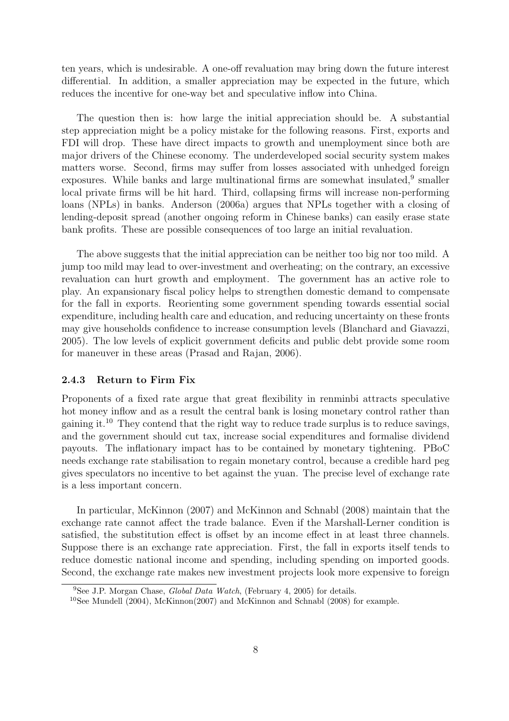ten years, which is undesirable. A one-off revaluation may bring down the future interest differential. In addition, a smaller appreciation may be expected in the future, which reduces the incentive for one-way bet and speculative inflow into China.

The question then is: how large the initial appreciation should be. A substantial step appreciation might be a policy mistake for the following reasons. First, exports and FDI will drop. These have direct impacts to growth and unemployment since both are major drivers of the Chinese economy. The underdeveloped social security system makes matters worse. Second, firms may suffer from losses associated with unhedged foreign exposures. While banks and large multinational firms are somewhat insulated,<sup>9</sup> smaller local private firms will be hit hard. Third, collapsing firms will increase non-performing loans (NPLs) in banks. Anderson (2006a) argues that NPLs together with a closing of lending-deposit spread (another ongoing reform in Chinese banks) can easily erase state bank profits. These are possible consequences of too large an initial revaluation.

The above suggests that the initial appreciation can be neither too big nor too mild. A jump too mild may lead to over-investment and overheating; on the contrary, an excessive revaluation can hurt growth and employment. The government has an active role to play. An expansionary fiscal policy helps to strengthen domestic demand to compensate for the fall in exports. Reorienting some government spending towards essential social expenditure, including health care and education, and reducing uncertainty on these fronts may give households confidence to increase consumption levels (Blanchard and Giavazzi, 2005). The low levels of explicit government deficits and public debt provide some room for maneuver in these areas (Prasad and Rajan, 2006).

#### 2.4.3 Return to Firm Fix

Proponents of a fixed rate argue that great flexibility in renminbi attracts speculative hot money inflow and as a result the central bank is losing monetary control rather than gaining it.<sup>10</sup> They contend that the right way to reduce trade surplus is to reduce savings, and the government should cut tax, increase social expenditures and formalise dividend payouts. The inflationary impact has to be contained by monetary tightening. PBoC needs exchange rate stabilisation to regain monetary control, because a credible hard peg gives speculators no incentive to bet against the yuan. The precise level of exchange rate is a less important concern.

In particular, McKinnon (2007) and McKinnon and Schnabl (2008) maintain that the exchange rate cannot affect the trade balance. Even if the Marshall-Lerner condition is satisfied, the substitution effect is offset by an income effect in at least three channels. Suppose there is an exchange rate appreciation. First, the fall in exports itself tends to reduce domestic national income and spending, including spending on imported goods. Second, the exchange rate makes new investment projects look more expensive to foreign

<sup>&</sup>lt;sup>9</sup>See J.P. Morgan Chase, *Global Data Watch*, (February 4, 2005) for details.

<sup>&</sup>lt;sup>10</sup>See Mundell (2004), McKinnon(2007) and McKinnon and Schnabl (2008) for example.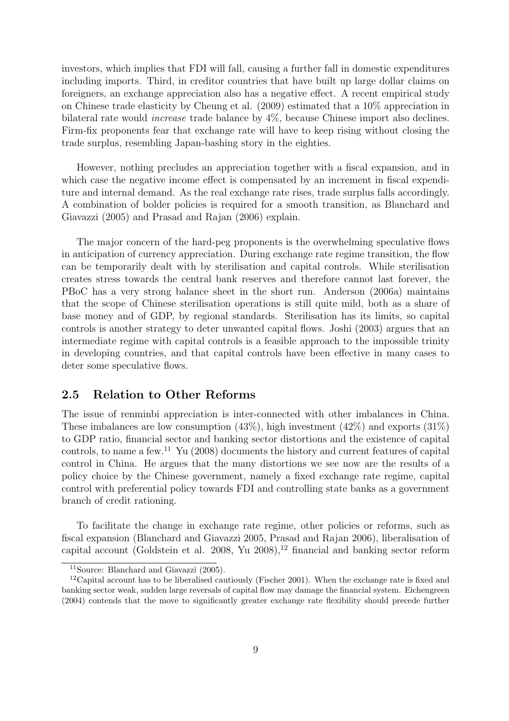investors, which implies that FDI will fall, causing a further fall in domestic expenditures including imports. Third, in creditor countries that have built up large dollar claims on foreigners, an exchange appreciation also has a negative effect. A recent empirical study on Chinese trade elasticity by Cheung et al. (2009) estimated that a 10% appreciation in bilateral rate would increase trade balance by 4%, because Chinese import also declines. Firm-fix proponents fear that exchange rate will have to keep rising without closing the trade surplus, resembling Japan-bashing story in the eighties.

However, nothing precludes an appreciation together with a fiscal expansion, and in which case the negative income effect is compensated by an increment in fiscal expenditure and internal demand. As the real exchange rate rises, trade surplus falls accordingly. A combination of bolder policies is required for a smooth transition, as Blanchard and Giavazzi (2005) and Prasad and Rajan (2006) explain.

The major concern of the hard-peg proponents is the overwhelming speculative flows in anticipation of currency appreciation. During exchange rate regime transition, the flow can be temporarily dealt with by sterilisation and capital controls. While sterilisation creates stress towards the central bank reserves and therefore cannot last forever, the PBoC has a very strong balance sheet in the short run. Anderson (2006a) maintains that the scope of Chinese sterilisation operations is still quite mild, both as a share of base money and of GDP, by regional standards. Sterilisation has its limits, so capital controls is another strategy to deter unwanted capital flows. Joshi (2003) argues that an intermediate regime with capital controls is a feasible approach to the impossible trinity in developing countries, and that capital controls have been effective in many cases to deter some speculative flows.

## 2.5 Relation to Other Reforms

The issue of renminbi appreciation is inter-connected with other imbalances in China. These imbalances are low consumption  $(43\%)$ , high investment  $(42\%)$  and exports  $(31\%)$ to GDP ratio, financial sector and banking sector distortions and the existence of capital controls, to name a few.<sup>11</sup> Yu (2008) documents the history and current features of capital control in China. He argues that the many distortions we see now are the results of a policy choice by the Chinese government, namely a fixed exchange rate regime, capital control with preferential policy towards FDI and controlling state banks as a government branch of credit rationing.

To facilitate the change in exchange rate regime, other policies or reforms, such as fiscal expansion (Blanchard and Giavazzi 2005, Prasad and Rajan 2006), liberalisation of capital account (Goldstein et al. 2008, Yu  $2008$ ),<sup>12</sup> financial and banking sector reform

<sup>11</sup>Source: Blanchard and Giavazzi (2005).

 $12$ Capital account has to be liberalised cautiously (Fischer 2001). When the exchange rate is fixed and banking sector weak, sudden large reversals of capital flow may damage the financial system. Eichengreen (2004) contends that the move to significantly greater exchange rate flexibility should precede further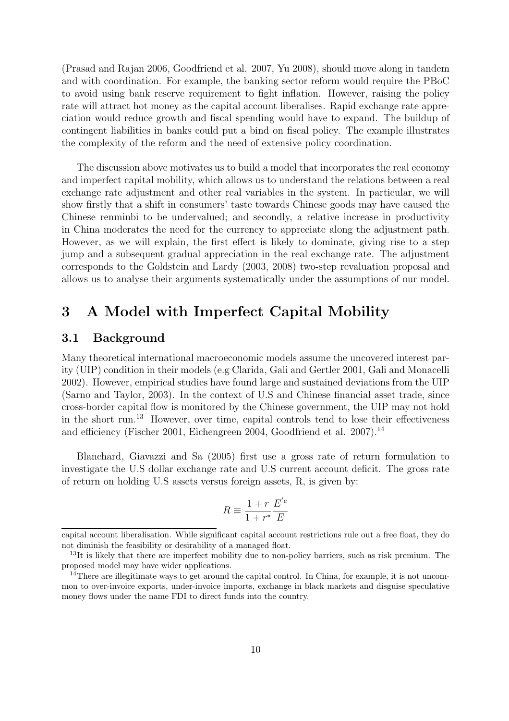(Prasad and Rajan 2006, Goodfriend et al. 2007, Yu 2008), should move along in tandem and with coordination. For example, the banking sector reform would require the PBoC to avoid using bank reserve requirement to fight inflation. However, raising the policy rate will attract hot money as the capital account liberalises. Rapid exchange rate appreciation would reduce growth and fiscal spending would have to expand. The buildup of contingent liabilities in banks could put a bind on fiscal policy. The example illustrates the complexity of the reform and the need of extensive policy coordination.

The discussion above motivates us to build a model that incorporates the real economy and imperfect capital mobility, which allows us to understand the relations between a real exchange rate adjustment and other real variables in the system. In particular, we will show firstly that a shift in consumers' taste towards Chinese goods may have caused the Chinese renminbi to be undervalued; and secondly, a relative increase in productivity in China moderates the need for the currency to appreciate along the adjustment path. However, as we will explain, the first effect is likely to dominate, giving rise to a step jump and a subsequent gradual appreciation in the real exchange rate. The adjustment corresponds to the Goldstein and Lardy (2003, 2008) two-step revaluation proposal and allows us to analyse their arguments systematically under the assumptions of our model.

## 3 A Model with Imperfect Capital Mobility

### 3.1 Background

Many theoretical international macroeconomic models assume the uncovered interest parity (UIP) condition in their models (e.g Clarida, Gali and Gertler 2001, Gali and Monacelli 2002). However, empirical studies have found large and sustained deviations from the UIP (Sarno and Taylor, 2003). In the context of U.S and Chinese financial asset trade, since cross-border capital flow is monitored by the Chinese government, the UIP may not hold in the short run.<sup>13</sup> However, over time, capital controls tend to lose their effectiveness and efficiency (Fischer 2001, Eichengreen 2004, Goodfriend et al. 2007).<sup>14</sup>

Blanchard, Giavazzi and Sa (2005) first use a gross rate of return formulation to investigate the U.S dollar exchange rate and U.S current account deficit. The gross rate of return on holding U.S assets versus foreign assets, R, is given by:

$$
R \equiv \frac{1+r}{1+r^*} \frac{E^{'e}}{E}
$$

capital account liberalisation. While significant capital account restrictions rule out a free float, they do not diminish the feasibility or desirability of a managed float.

<sup>&</sup>lt;sup>13</sup>It is likely that there are imperfect mobility due to non-policy barriers, such as risk premium. The proposed model may have wider applications.

<sup>&</sup>lt;sup>14</sup>There are illegitimate ways to get around the capital control. In China, for example, it is not uncommon to over-invoice exports, under-invoice imports, exchange in black markets and disguise speculative money flows under the name FDI to direct funds into the country.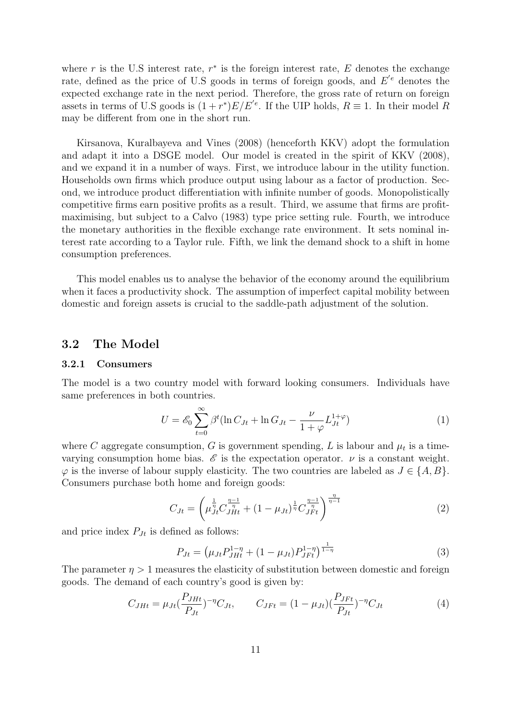where r is the U.S interest rate,  $r^*$  is the foreign interest rate, E denotes the exchange rate, defined as the price of U.S goods in terms of foreign goods, and  $E'{}^e$  denotes the expected exchange rate in the next period. Therefore, the gross rate of return on foreign assets in terms of U.S goods is  $(1+r^*)E/E^{e}$ . If the UIP holds,  $R \equiv 1$ . In their model R may be different from one in the short run.

Kirsanova, Kuralbayeva and Vines (2008) (henceforth KKV) adopt the formulation and adapt it into a DSGE model. Our model is created in the spirit of KKV (2008), and we expand it in a number of ways. First, we introduce labour in the utility function. Households own firms which produce output using labour as a factor of production. Second, we introduce product differentiation with infinite number of goods. Monopolistically competitive firms earn positive profits as a result. Third, we assume that firms are profitmaximising, but subject to a Calvo (1983) type price setting rule. Fourth, we introduce the monetary authorities in the flexible exchange rate environment. It sets nominal interest rate according to a Taylor rule. Fifth, we link the demand shock to a shift in home consumption preferences.

This model enables us to analyse the behavior of the economy around the equilibrium when it faces a productivity shock. The assumption of imperfect capital mobility between domestic and foreign assets is crucial to the saddle-path adjustment of the solution.

### 3.2 The Model

#### 3.2.1 Consumers

The model is a two country model with forward looking consumers. Individuals have same preferences in both countries.

$$
U = \mathcal{E}_0 \sum_{t=0}^{\infty} \beta^t (\ln C_{Jt} + \ln G_{Jt} - \frac{\nu}{1 + \varphi} L_{Jt}^{1 + \varphi})
$$
(1)

where C aggregate consumption, G is government spending, L is labour and  $\mu_t$  is a timevarying consumption home bias.  $\mathscr E$  is the expectation operator.  $\nu$  is a constant weight.  $\varphi$  is the inverse of labour supply elasticity. The two countries are labeled as  $J \in \{A, B\}$ . Consumers purchase both home and foreign goods:

$$
C_{Jt} = \left(\mu_{Jt}^{\frac{1}{\eta}} C_{JHt}^{\frac{\eta-1}{\eta}} + (1 - \mu_{Jt})^{\frac{1}{\eta}} C_{JFt}^{\frac{\eta-1}{\eta}}\right)^{\frac{\eta}{\eta-1}}
$$
(2)

and price index  $P_{Jt}$  is defined as follows:

$$
P_{Jt} = \left(\mu_{Jt} P_{JHt}^{1-\eta} + (1 - \mu_{Jt}) P_{JFt}^{1-\eta}\right)^{\frac{1}{1-\eta}}
$$
(3)

The parameter  $\eta > 1$  measures the elasticity of substitution between domestic and foreign goods. The demand of each country's good is given by:

$$
C_{JHt} = \mu_{Jt} \left(\frac{P_{JHt}}{P_{Jt}}\right)^{-\eta} C_{Jt}, \qquad C_{JFt} = (1 - \mu_{Jt}) \left(\frac{P_{JFt}}{P_{Jt}}\right)^{-\eta} C_{Jt}
$$
(4)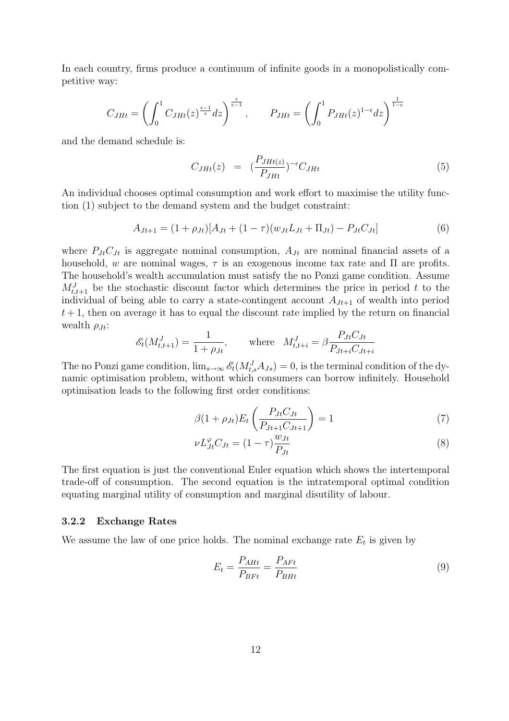In each country, firms produce a continuum of infinite goods in a monopolistically competitive way:

$$
C_{JHt} = \left(\int_0^1 C_{JHt}(z)^{\frac{\epsilon-1}{\epsilon}} dz\right)^{\frac{\epsilon}{\epsilon-1}}, \qquad P_{JHt} = \left(\int_0^1 P_{JHt}(z)^{1-\epsilon} dz\right)^{\frac{1}{1-\epsilon}}
$$

and the demand schedule is:

$$
C_{JHt}(z) = \left(\frac{P_{JHt(z)}}{P_{JHt}}\right)^{-\epsilon}C_{JHt} \tag{5}
$$

An individual chooses optimal consumption and work effort to maximise the utility function (1) subject to the demand system and the budget constraint:

$$
A_{Jt+1} = (1 + \rho_{Jt})[A_{Jt} + (1 - \tau)(w_{Jt}L_{Jt} + \Pi_{Jt}) - P_{Jt}C_{Jt}] \tag{6}
$$

where  $P_{Jt}C_{Jt}$  is aggregate nominal consumption,  $A_{Jt}$  are nominal financial assets of a household, w are nominal wages,  $\tau$  is an exogenous income tax rate and  $\Pi$  are profits. The household's wealth accumulation must satisfy the no Ponzi game condition. Assume  $M_{t,t+1}^{J}$  be the stochastic discount factor which determines the price in period t to the individual of being able to carry a state-contingent account  $A_{Jt+1}$  of wealth into period  $t + 1$ , then on average it has to equal the discount rate implied by the return on financial wealth  $\rho_{Jt}$ :

$$
\mathcal{E}_t(M_{t,t+1}^J) = \frac{1}{1+\rho_{Jt}}, \quad \text{where} \quad M_{t,t+i}^J = \beta \frac{P_{Jt} C_{Jt}}{P_{Jt+i} C_{Jt+i}}
$$

The no Ponzi game condition,  $\lim_{s\to\infty} \mathscr{E}_t(M_{t,s}^J A_{Js}) = 0$ , is the terminal condition of the dynamic optimisation problem, without which consumers can borrow infinitely. Household optimisation leads to the following first order conditions:

$$
\beta(1+\rho_{Jt})E_t\left(\frac{P_{Jt}C_{Jt}}{P_{Jt+1}C_{Jt+1}}\right) = 1
$$
\n(7)

$$
\nu L_{Jt}^{\varphi} C_{Jt} = (1 - \tau) \frac{w_{Jt}}{P_{Jt}} \tag{8}
$$

The first equation is just the conventional Euler equation which shows the intertemporal trade-off of consumption. The second equation is the intratemporal optimal condition equating marginal utility of consumption and marginal disutility of labour.

#### 3.2.2 Exchange Rates

We assume the law of one price holds. The nominal exchange rate  $E_t$  is given by

$$
E_t = \frac{P_{A H t}}{P_{B F t}} = \frac{P_{A F t}}{P_{B H t}}\tag{9}
$$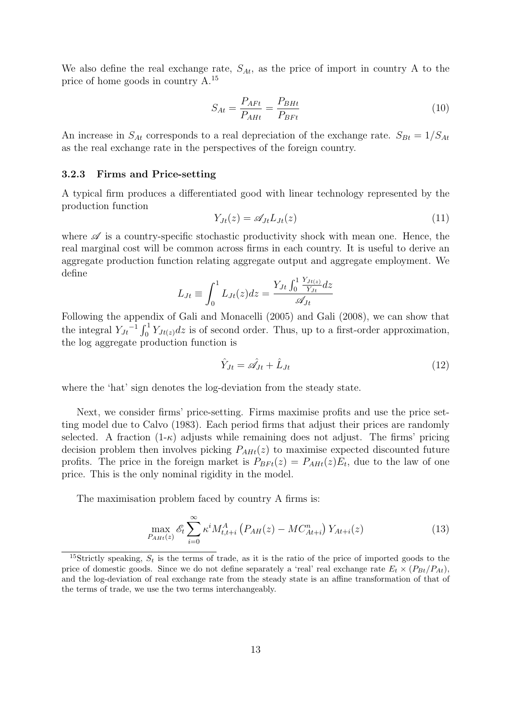We also define the real exchange rate,  $S_{At}$ , as the price of import in country A to the price of home goods in country A.<sup>15</sup>

$$
S_{At} = \frac{P_{AFt}}{P_{AHt}} = \frac{P_{BHt}}{P_{BFt}}\tag{10}
$$

An increase in  $S_{At}$  corresponds to a real depreciation of the exchange rate.  $S_{Bt} = 1/S_{At}$ as the real exchange rate in the perspectives of the foreign country.

#### 3.2.3 Firms and Price-setting

A typical firm produces a differentiated good with linear technology represented by the production function

$$
Y_{Jt}(z) = \mathscr{A}_{Jt} L_{Jt}(z) \tag{11}
$$

where  $\mathscr A$  is a country-specific stochastic productivity shock with mean one. Hence, the real marginal cost will be common across firms in each country. It is useful to derive an aggregate production function relating aggregate output and aggregate employment. We define

$$
L_{Jt} \equiv \int_0^1 L_{Jt}(z) dz = \frac{Y_{Jt} \int_0^1 \frac{Y_{Jt(z)}}{Y_{Jt}} dz}{\mathscr{A}_{Jt}}
$$

Following the appendix of Gali and Monacelli (2005) and Gali (2008), we can show that ronowing the appent<br>the integral  $Y_{Jt}^{-1} \int_0^1$  $\int_0^1 Y_{Jt(z)}dz$  is of second order. Thus, up to a first-order approximation, the log aggregate production function is

$$
\hat{Y}_{Jt} = \hat{\mathscr{A}}_{Jt} + \hat{L}_{Jt} \tag{12}
$$

where the 'hat' sign denotes the log-deviation from the steady state.

Next, we consider firms' price-setting. Firms maximise profits and use the price setting model due to Calvo (1983). Each period firms that adjust their prices are randomly selected. A fraction  $(1-\kappa)$  adjusts while remaining does not adjust. The firms' pricing decision problem then involves picking  $P_{AHt}(z)$  to maximise expected discounted future profits. The price in the foreign market is  $P_{B F t}(z) = P_{A H t}(z) E_t$ , due to the law of one price. This is the only nominal rigidity in the model.

The maximisation problem faced by country A firms is:

$$
\max_{P_{A H t}(z)} \mathcal{E}_t \sum_{i=0}^{\infty} \kappa^i M_{t, t+i}^A \left( P_{A H}(z) - M C_{A t + i}^n \right) Y_{A t + i}(z) \tag{13}
$$

<sup>&</sup>lt;sup>15</sup>Strictly speaking,  $S_t$  is the terms of trade, as it is the ratio of the price of imported goods to the price of domestic goods. Since we do not define separately a 'real' real exchange rate  $E_t \times (P_{Bt}/P_{At})$ , and the log-deviation of real exchange rate from the steady state is an affine transformation of that of the terms of trade, we use the two terms interchangeably.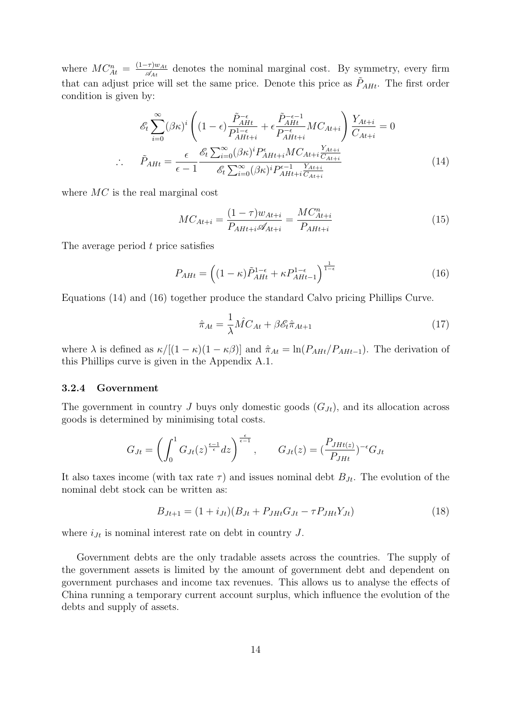where  $MC_{At}^n = \frac{(1-\tau)w_{At}}{\mathscr{A}_{At}}$  $\frac{\partial \tau}{\partial \mathcal{A}_{At}}$  denotes the nominal marginal cost. By symmetry, every firm that can adjust price will set the same price. Denote this price as  $\tilde{P}_{A H t}$ . The first order condition is given by:

$$
\mathcal{E}_{t} \sum_{i=0}^{\infty} (\beta \kappa)^{i} \left( (1 - \epsilon) \frac{\tilde{P}_{AH}^{-\epsilon}}{P_{AH+i}^{1-\epsilon}} + \epsilon \frac{\tilde{P}_{AH}^{-\epsilon-1}}{P_{AH+i}^{-\epsilon}} MC_{At+i} \right) \frac{Y_{At+i}}{C_{At+i}} = 0
$$
  
\n
$$
\therefore \quad \tilde{P}_{AH} = \frac{\epsilon}{\epsilon - 1} \frac{\mathcal{E}_{t} \sum_{i=0}^{\infty} (\beta \kappa)^{i} P_{AH+i}^{ \epsilon} MC_{At+i} \frac{Y_{At+i}}{C_{At+i}}}{\mathcal{E}_{t} \sum_{i=0}^{\infty} (\beta \kappa)^{i} P_{AH+i}^{-1} \frac{Y_{At+i}}{C_{At+i}}} \tag{14}
$$

where MC is the real marginal cost

$$
MC_{At+i} = \frac{(1 - \tau)w_{At+i}}{P_{AH+i}\mathscr{A}_{At+i}} = \frac{MC_{At+i}^n}{P_{AH+i}}
$$
(15)

The average period t price satisfies

$$
P_{AHt} = \left( (1 - \kappa)\tilde{P}_{AHt}^{1 - \epsilon} + \kappa P_{AHt-1}^{1 - \epsilon} \right)^{\frac{1}{1 - \epsilon}} \tag{16}
$$

Equations (14) and (16) together produce the standard Calvo pricing Phillips Curve.

$$
\hat{\pi}_{At} = \frac{1}{\lambda} \hat{MC}_{At} + \beta \mathcal{E}_t \hat{\pi}_{At+1}
$$
\n(17)

where  $\lambda$  is defined as  $\kappa/[(1 - \kappa)(1 - \kappa\beta)]$  and  $\hat{\pi}_{At} = \ln(P_{AH}/P_{AH-1})$ . The derivation of this Phillips curve is given in the Appendix A.1.

#### 3.2.4 Government

The government in country J buys only domestic goods  $(G_{Jt})$ , and its allocation across goods is determined by minimising total costs.

$$
G_{Jt} = \left(\int_0^1 G_{Jt}(z)^{\frac{\epsilon-1}{\epsilon}} dz\right)^{\frac{\epsilon}{\epsilon-1}}, \qquad G_{Jt}(z) = \left(\frac{P_{JHt(z)}}{P_{JHt}}\right)^{-\epsilon} G_{Jt}
$$

It also taxes income (with tax rate  $\tau$ ) and issues nominal debt  $B_{Jt}$ . The evolution of the nominal debt stock can be written as:

$$
B_{Jt+1} = (1 + i_{Jt})(B_{Jt} + P_{JHt}G_{Jt} - \tau P_{JHt}Y_{Jt})
$$
\n(18)

where  $i_{Jt}$  is nominal interest rate on debt in country  $J$ .

Government debts are the only tradable assets across the countries. The supply of the government assets is limited by the amount of government debt and dependent on government purchases and income tax revenues. This allows us to analyse the effects of China running a temporary current account surplus, which influence the evolution of the debts and supply of assets.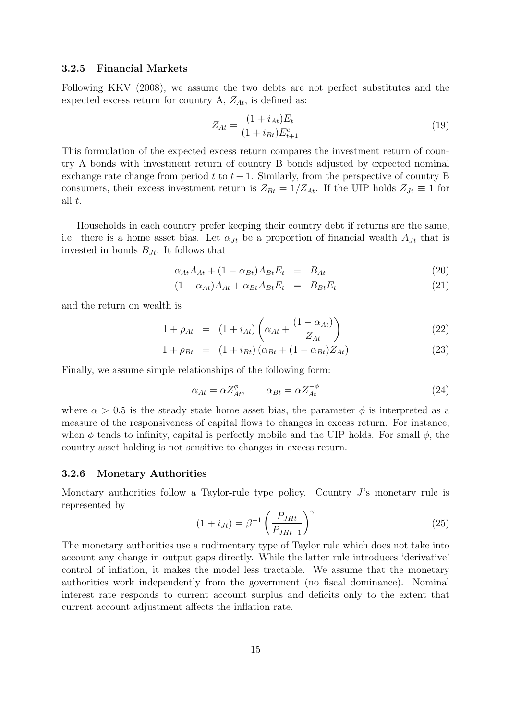#### 3.2.5 Financial Markets

Following KKV (2008), we assume the two debts are not perfect substitutes and the expected excess return for country A,  $Z_{At}$ , is defined as:

$$
Z_{At} = \frac{(1 + i_{At})E_t}{(1 + i_{Bt})E_{t+1}^e}
$$
\n(19)

This formulation of the expected excess return compares the investment return of country A bonds with investment return of country B bonds adjusted by expected nominal exchange rate change from period t to  $t + 1$ . Similarly, from the perspective of country B consumers, their excess investment return is  $Z_{Bt} = 1/Z_{At}$ . If the UIP holds  $Z_{Jt} \equiv 1$  for all t.

Households in each country prefer keeping their country debt if returns are the same, i.e. there is a home asset bias. Let  $\alpha_{Jt}$  be a proportion of financial wealth  $A_{Jt}$  that is invested in bonds  $B_{Jt}$ . It follows that

$$
\alpha_{At}A_{At} + (1 - \alpha_{Bt})A_{Bt}E_t = B_{At} \tag{20}
$$

$$
(1 - \alpha_{At})A_{At} + \alpha_{Bt}A_{Bt}E_t = B_{Bt}E_t \tag{21}
$$

and the return on wealth is

$$
1 + \rho_{At} = (1 + i_{At}) \left( \alpha_{At} + \frac{(1 - \alpha_{At})}{Z_{At}} \right)
$$
 (22)

$$
1 + \rho_{Bt} = (1 + i_{Bt}) (\alpha_{Bt} + (1 - \alpha_{Bt}) Z_{At}) \tag{23}
$$

Finally, we assume simple relationships of the following form:

$$
\alpha_{At} = \alpha Z_{At}^{\phi}, \qquad \alpha_{Bt} = \alpha Z_{At}^{-\phi} \tag{24}
$$

where  $\alpha > 0.5$  is the steady state home asset bias, the parameter  $\phi$  is interpreted as a measure of the responsiveness of capital flows to changes in excess return. For instance, when  $\phi$  tends to infinity, capital is perfectly mobile and the UIP holds. For small  $\phi$ , the country asset holding is not sensitive to changes in excess return.

#### 3.2.6 Monetary Authorities

Monetary authorities follow a Taylor-rule type policy. Country  $J$ 's monetary rule is represented by  $\overline{a}$  $\frac{1}{2}$ 

$$
(1 + i_{Jt}) = \beta^{-1} \left(\frac{P_{JHt}}{P_{JHt-1}}\right)^{\gamma}
$$
 (25)

The monetary authorities use a rudimentary type of Taylor rule which does not take into account any change in output gaps directly. While the latter rule introduces 'derivative' control of inflation, it makes the model less tractable. We assume that the monetary authorities work independently from the government (no fiscal dominance). Nominal interest rate responds to current account surplus and deficits only to the extent that current account adjustment affects the inflation rate.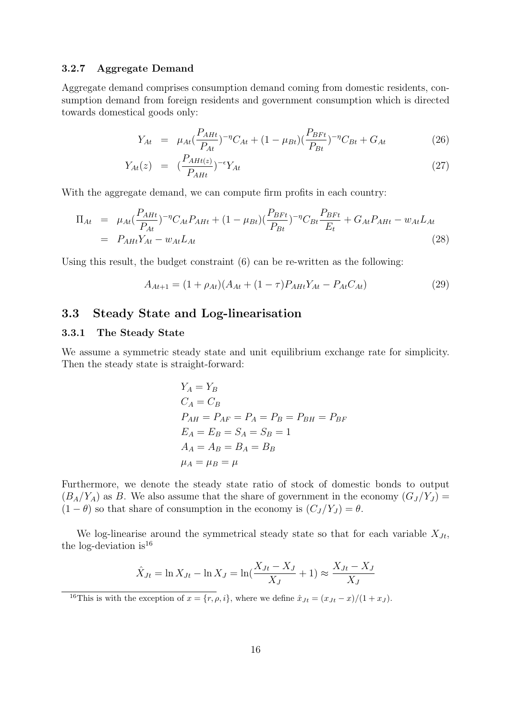#### 3.2.7 Aggregate Demand

Aggregate demand comprises consumption demand coming from domestic residents, consumption demand from foreign residents and government consumption which is directed towards domestical goods only:

$$
Y_{At} = \mu_{At} \left(\frac{P_{AHt}}{P_{At}}\right)^{-\eta} C_{At} + (1 - \mu_{Bt}) \left(\frac{P_{BFt}}{P_{Bt}}\right)^{-\eta} C_{Bt} + G_{At}
$$
(26)

$$
Y_{At}(z) = \left(\frac{P_{AHt(z)}}{P_{AHt}}\right)^{-\epsilon} Y_{At} \tag{27}
$$

With the aggregate demand, we can compute firm profits in each country:

$$
\Pi_{At} = \mu_{At} \left( \frac{P_{AHt}}{P_{At}} \right)^{-\eta} C_{At} P_{AHt} + (1 - \mu_{Bt}) \left( \frac{P_{BFt}}{P_{Bt}} \right)^{-\eta} C_{Bt} \frac{P_{BFt}}{E_t} + G_{At} P_{AHt} - w_{At} L_{At}
$$
\n
$$
= P_{AHt} Y_{At} - w_{At} L_{At}
$$
\n(28)

Using this result, the budget constraint (6) can be re-written as the following:

$$
A_{At+1} = (1 + \rho_{At})(A_{At} + (1 - \tau)P_{AH}Y_{At} - P_{At}C_{At})
$$
\n(29)

## 3.3 Steady State and Log-linearisation

#### 3.3.1 The Steady State

We assume a symmetric steady state and unit equilibrium exchange rate for simplicity. Then the steady state is straight-forward:

$$
Y_A = Y_B
$$
  
\n
$$
C_A = C_B
$$
  
\n
$$
P_{AH} = P_{AF} = P_A = P_B = P_{BH} = P_{BF}
$$
  
\n
$$
E_A = E_B = S_A = S_B = 1
$$
  
\n
$$
A_A = A_B = B_A = B_B
$$
  
\n
$$
\mu_A = \mu_B = \mu
$$

Furthermore, we denote the steady state ratio of stock of domestic bonds to output  $(B_A/Y_A)$  as B. We also assume that the share of government in the economy  $(G_J/Y_J)$  =  $(1 - \theta)$  so that share of consumption in the economy is  $(C_J/Y_J) = \theta$ .

We log-linearise around the symmetrical steady state so that for each variable  $X_{Jt}$ , the log-deviation is  $16$ 

$$
\hat{X}_{Jt} = \ln X_{Jt} - \ln X_J = \ln(\frac{X_{Jt} - X_J}{X_J} + 1) \approx \frac{X_{Jt} - X_J}{X_J}
$$

<sup>16</sup>This is with the exception of  $x = \{r, \rho, i\}$ , where we define  $\hat{x}_{Jt} = (x_{Jt} - x)/(1 + x_J)$ .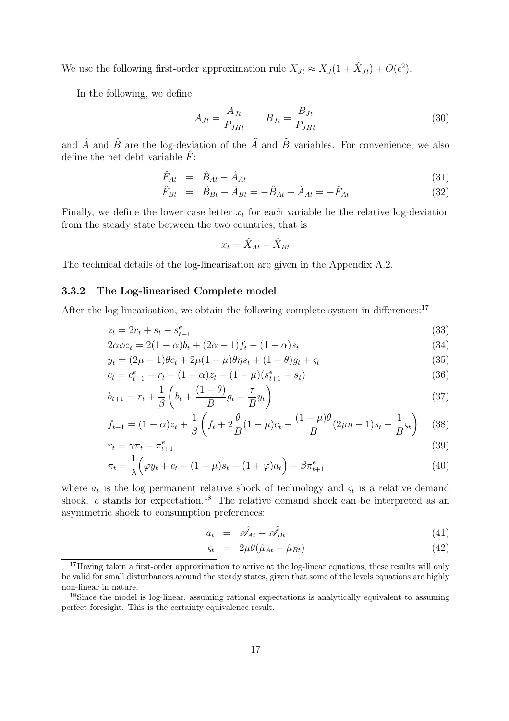We use the following first-order approximation rule  $X_{Jt} \approx X_J(1 + \hat{X}_{Jt}) + O(\epsilon^2)$ .

In the following, we define

$$
\tilde{A}_{Jt} = \frac{A_{Jt}}{P_{JHt}} \qquad \tilde{B}_{Jt} = \frac{B_{Jt}}{P_{JHt}} \tag{30}
$$

and  $\hat{A}$  and  $\hat{B}$  are the log-deviation of the  $\tilde{A}$  and  $\tilde{B}$  variables. For convenience, we also define the net debt variable  $\hat{F}$ :

$$
\hat{F}_{At} = \hat{B}_{At} - \hat{A}_{At} \tag{31}
$$

$$
\hat{F}_{Bt} = \hat{B}_{Bt} - \hat{A}_{Bt} = -\hat{B}_{At} + \hat{A}_{At} = -\hat{F}_{At}
$$
\n(32)

Finally, we define the lower case letter  $x_t$  for each variable be the relative log-deviation from the steady state between the two countries, that is

$$
x_t = \hat{X}_{At} - \hat{X}_{Bt}
$$

The technical details of the log-linearisation are given in the Appendix A.2.

#### 3.3.2 The Log-linearised Complete model

After the log-linearisation, we obtain the following complete system in differences:<sup>17</sup>

$$
z_t = 2r_t + s_t - s_{t+1}^e \tag{33}
$$

$$
2\alpha\phi z_t = 2(1-\alpha)b_t + (2\alpha - 1)f_t - (1-\alpha)s_t
$$
\n(34)

$$
y_t = (2\mu - 1)\theta c_t + 2\mu(1 - \mu)\theta \eta s_t + (1 - \theta)g_t + \varsigma_t
$$
\n(35)

$$
c_t = c_{t+1}^e - r_t + (1 - \alpha)z_t + (1 - \mu)(s_{t+1}^e - s_t)
$$
\n(36)

$$
b_{t+1} = r_t + \frac{1}{\beta} \left( b_t + \frac{(1-\theta)}{B} g_t - \frac{\tau}{B} y_t \right)
$$
\n
$$
(37)
$$

$$
f_{t+1} = (1 - \alpha)z_t + \frac{1}{\beta} \left( f_t + 2\frac{\theta}{B}(1 - \mu)c_t - \frac{(1 - \mu)\theta}{B}(2\mu\eta - 1)s_t - \frac{1}{B}s_t \right) \tag{38}
$$

$$
r_t = \gamma \pi_t - \pi_{t+1}^e \tag{39}
$$

$$
\pi_t = \frac{1}{\lambda} \Big( \varphi y_t + c_t + (1 - \mu)s_t - (1 + \varphi)a_t \Big) + \beta \pi_{t+1}^e \tag{40}
$$

where  $a_t$  is the log permanent relative shock of technology and  $\varsigma_t$  is a relative demand shock.  $e$  stands for expectation.<sup>18</sup> The relative demand shock can be interpreted as an asymmetric shock to consumption preferences:

$$
a_t = \hat{\mathscr{A}}_{At} - \hat{\mathscr{A}}_{Bt} \tag{41}
$$

$$
\varsigma_t = 2\mu\theta(\hat{\mu}_{At} - \hat{\mu}_{Bt}) \tag{42}
$$

 $17$ Having taken a first-order approximation to arrive at the log-linear equations, these results will only be valid for small disturbances around the steady states, given that some of the levels equations are highly non-linear in nature.

<sup>18</sup>Since the model is log-linear, assuming rational expectations is analytically equivalent to assuming perfect foresight. This is the certainty equivalence result.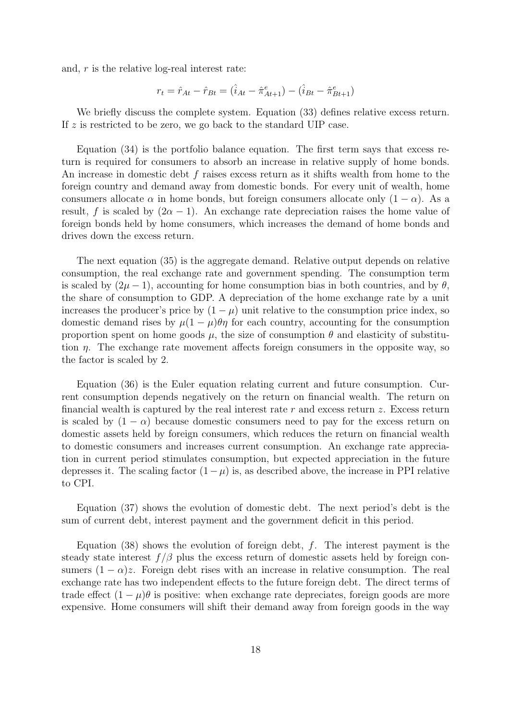and, r is the relative log-real interest rate:

$$
r_t = \hat{r}_{At} - \hat{r}_{Bt} = \big(\hat{i}_{At} - \hat{\pi}_{At+1}^e\big) - \big(\hat{i}_{Bt} - \hat{\pi}_{Bt+1}^e\big)
$$

We briefly discuss the complete system. Equation (33) defines relative excess return. If z is restricted to be zero, we go back to the standard UIP case.

Equation (34) is the portfolio balance equation. The first term says that excess return is required for consumers to absorb an increase in relative supply of home bonds. An increase in domestic debt f raises excess return as it shifts wealth from home to the foreign country and demand away from domestic bonds. For every unit of wealth, home consumers allocate  $\alpha$  in home bonds, but foreign consumers allocate only  $(1 - \alpha)$ . As a result, f is scaled by  $(2\alpha - 1)$ . An exchange rate depreciation raises the home value of foreign bonds held by home consumers, which increases the demand of home bonds and drives down the excess return.

The next equation (35) is the aggregate demand. Relative output depends on relative consumption, the real exchange rate and government spending. The consumption term is scaled by  $(2\mu - 1)$ , accounting for home consumption bias in both countries, and by  $\theta$ , the share of consumption to GDP. A depreciation of the home exchange rate by a unit increases the producer's price by  $(1 - \mu)$  unit relative to the consumption price index, so domestic demand rises by  $\mu(1-\mu)\theta\eta$  for each country, accounting for the consumption proportion spent on home goods  $\mu$ , the size of consumption  $\theta$  and elasticity of substitution  $\eta$ . The exchange rate movement affects foreign consumers in the opposite way, so the factor is scaled by 2.

Equation (36) is the Euler equation relating current and future consumption. Current consumption depends negatively on the return on financial wealth. The return on financial wealth is captured by the real interest rate r and excess return  $z$ . Excess return is scaled by  $(1 - \alpha)$  because domestic consumers need to pay for the excess return on domestic assets held by foreign consumers, which reduces the return on financial wealth to domestic consumers and increases current consumption. An exchange rate appreciation in current period stimulates consumption, but expected appreciation in the future depresses it. The scaling factor  $(1 - \mu)$  is, as described above, the increase in PPI relative to CPI.

Equation (37) shows the evolution of domestic debt. The next period's debt is the sum of current debt, interest payment and the government deficit in this period.

Equation (38) shows the evolution of foreign debt,  $f$ . The interest payment is the steady state interest  $f/\beta$  plus the excess return of domestic assets held by foreign consumers  $(1 - \alpha)z$ . Foreign debt rises with an increase in relative consumption. The real exchange rate has two independent effects to the future foreign debt. The direct terms of trade effect  $(1 - \mu)\theta$  is positive: when exchange rate depreciates, foreign goods are more expensive. Home consumers will shift their demand away from foreign goods in the way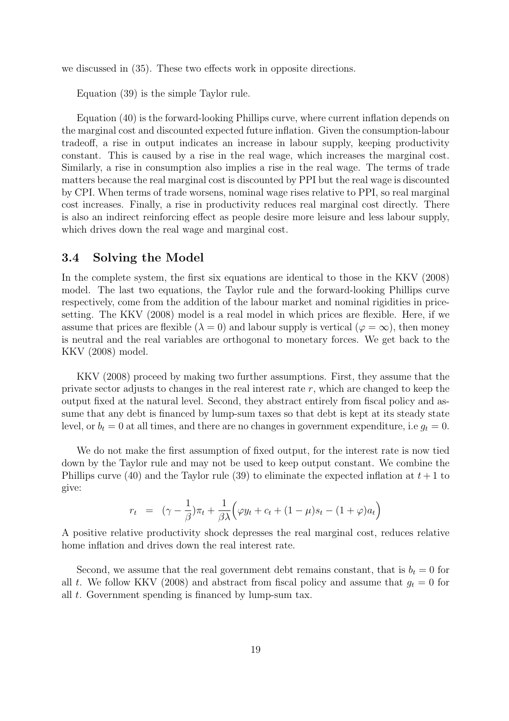we discussed in (35). These two effects work in opposite directions.

Equation (39) is the simple Taylor rule.

Equation (40) is the forward-looking Phillips curve, where current inflation depends on the marginal cost and discounted expected future inflation. Given the consumption-labour tradeoff, a rise in output indicates an increase in labour supply, keeping productivity constant. This is caused by a rise in the real wage, which increases the marginal cost. Similarly, a rise in consumption also implies a rise in the real wage. The terms of trade matters because the real marginal cost is discounted by PPI but the real wage is discounted by CPI. When terms of trade worsens, nominal wage rises relative to PPI, so real marginal cost increases. Finally, a rise in productivity reduces real marginal cost directly. There is also an indirect reinforcing effect as people desire more leisure and less labour supply, which drives down the real wage and marginal cost.

### 3.4 Solving the Model

In the complete system, the first six equations are identical to those in the KKV (2008) model. The last two equations, the Taylor rule and the forward-looking Phillips curve respectively, come from the addition of the labour market and nominal rigidities in pricesetting. The KKV (2008) model is a real model in which prices are flexible. Here, if we assume that prices are flexible ( $\lambda = 0$ ) and labour supply is vertical ( $\varphi = \infty$ ), then money is neutral and the real variables are orthogonal to monetary forces. We get back to the KKV (2008) model.

KKV (2008) proceed by making two further assumptions. First, they assume that the private sector adjusts to changes in the real interest rate  $r$ , which are changed to keep the output fixed at the natural level. Second, they abstract entirely from fiscal policy and assume that any debt is financed by lump-sum taxes so that debt is kept at its steady state level, or  $b_t = 0$  at all times, and there are no changes in government expenditure, i.e  $g_t = 0$ .

We do not make the first assumption of fixed output, for the interest rate is now tied down by the Taylor rule and may not be used to keep output constant. We combine the Phillips curve (40) and the Taylor rule (39) to eliminate the expected inflation at  $t+1$  to give:

$$
r_t = (\gamma - \frac{1}{\beta})\pi_t + \frac{1}{\beta \lambda} \left(\varphi y_t + c_t + (1 - \mu)s_t - (1 + \varphi)a_t\right)
$$

A positive relative productivity shock depresses the real marginal cost, reduces relative home inflation and drives down the real interest rate.

Second, we assume that the real government debt remains constant, that is  $b_t = 0$  for all t. We follow KKV (2008) and abstract from fiscal policy and assume that  $g_t = 0$  for all t. Government spending is financed by lump-sum tax.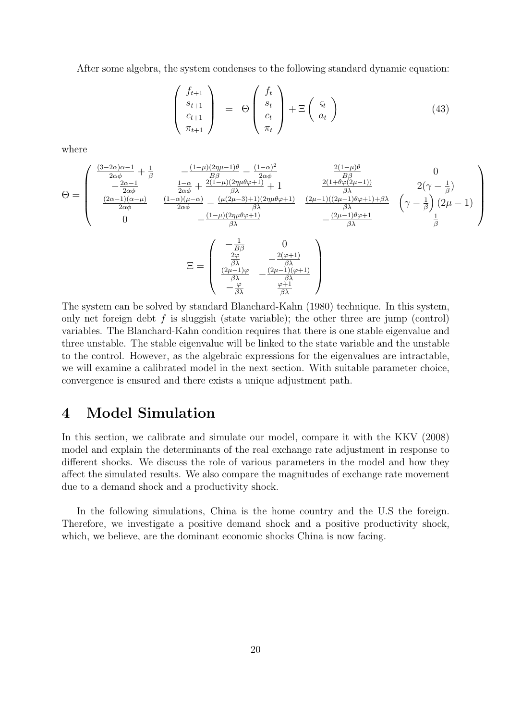After some algebra, the system condenses to the following standard dynamic equation:

$$
\begin{pmatrix} f_{t+1} \\ s_{t+1} \\ c_{t+1} \\ \pi_{t+1} \end{pmatrix} = \Theta \begin{pmatrix} f_t \\ s_t \\ c_t \\ \pi_t \end{pmatrix} + \Xi \begin{pmatrix} \varsigma_t \\ a_t \end{pmatrix}
$$
 (43)

where

$$
\Theta = \begin{pmatrix}\n\frac{(3-2\alpha)\alpha - 1}{2\alpha\phi} + \frac{1}{\beta} & -\frac{(1-\mu)(2\eta\mu - 1)\theta}{B\beta} - \frac{(1-\alpha)^2}{2\alpha\phi} & \frac{2(1-\mu)\theta}{B\beta} & 0 \\
-\frac{2\alpha - 1}{2\alpha\phi} & \frac{1-\alpha}{2\alpha\phi} + \frac{2(1-\mu)(2\eta\mu\theta\varphi + 1)}{\beta\lambda} + 1 & \frac{2(1+\theta\varphi(2\mu - 1))}{2\alpha\phi(2\mu - 1)(2\mu - 1)\theta\varphi + 1} & \frac{2(\gamma - \frac{1}{\beta})}{\beta} \\
\frac{(2\alpha - 1)(\alpha - \mu)}{2\alpha\phi} & \frac{(1-\alpha)(\mu - \alpha)}{2\alpha\phi} - \frac{(\mu(2\mu - 3) + 1)(2\eta\mu\theta\varphi + 1)}{\beta\lambda} & \frac{(2\mu - 1)((2\mu - 1)\theta\varphi + 1) + \beta\lambda}{\beta\lambda} & (\gamma - \frac{1}{\beta}) (2\mu - 1) \\
0 & -\frac{(1-\mu)(2\eta\mu\theta\varphi + 1)}{\beta\lambda} & -\frac{(2\mu - 1)\theta\varphi + 1}{\beta\lambda} & \frac{1}{\beta}\n\end{pmatrix}
$$

$$
\Xi = \begin{pmatrix}\n\frac{B\beta}{\beta\lambda} & \frac{0}{\beta\lambda} \\
\frac{2\varphi}{\beta\lambda} & -\frac{2(\varphi+1)}{\beta\lambda} \\
\frac{(2\mu-1)\varphi}{\beta\lambda} & -\frac{(2\mu-1)(\varphi+1)}{\beta\lambda} \\
-\frac{\varphi}{\beta\lambda} & \frac{\varphi+1}{\beta\lambda}\n\end{pmatrix}
$$

The system can be solved by standard Blanchard-Kahn (1980) technique. In this system, only net foreign debt  $f$  is sluggish (state variable); the other three are jump (control) variables. The Blanchard-Kahn condition requires that there is one stable eigenvalue and three unstable. The stable eigenvalue will be linked to the state variable and the unstable to the control. However, as the algebraic expressions for the eigenvalues are intractable, we will examine a calibrated model in the next section. With suitable parameter choice, convergence is ensured and there exists a unique adjustment path.

## 4 Model Simulation

In this section, we calibrate and simulate our model, compare it with the KKV (2008) model and explain the determinants of the real exchange rate adjustment in response to different shocks. We discuss the role of various parameters in the model and how they affect the simulated results. We also compare the magnitudes of exchange rate movement due to a demand shock and a productivity shock.

In the following simulations, China is the home country and the U.S the foreign. Therefore, we investigate a positive demand shock and a positive productivity shock, which, we believe, are the dominant economic shocks China is now facing.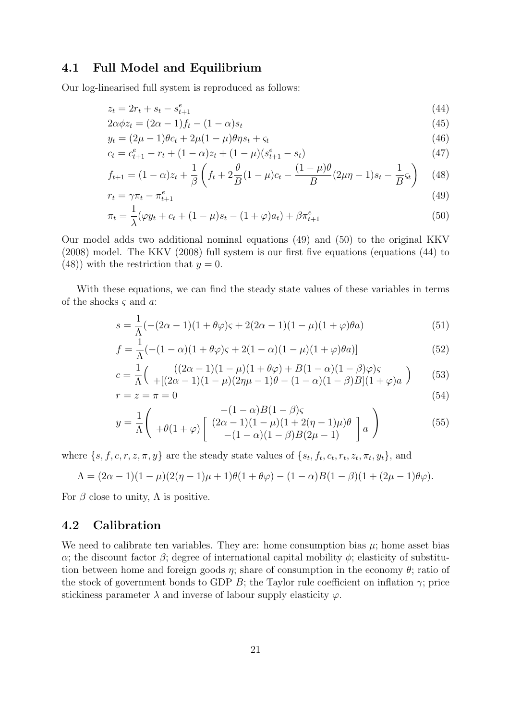### 4.1 Full Model and Equilibrium

Our log-linearised full system is reproduced as follows:

$$
z_t = 2r_t + s_t - s_{t+1}^e \tag{44}
$$

$$
2\alpha\phi z_t = (2\alpha - 1)f_t - (1 - \alpha)s_t
$$
\n
$$
(45)
$$

$$
y_t = (2\mu - 1)\theta c_t + 2\mu(1 - \mu)\theta \eta s_t + \varsigma_t \tag{46}
$$

$$
c_t = c_{t+1}^e - r_t + (1 - \alpha)z_t + (1 - \mu)(s_{t+1}^e - s_t)
$$
\n
$$
(47)
$$

$$
f_{t+1} = (1 - \alpha)z_t + \frac{1}{\beta} \left( f_t + 2\frac{\theta}{B}(1 - \mu)c_t - \frac{(1 - \mu)\theta}{B}(2\mu\eta - 1)s_t - \frac{1}{B}s_t \right) \tag{48}
$$

$$
r_t = \gamma \pi_t - \pi_{t+1}^e \tag{49}
$$

$$
\pi_t = \frac{1}{\lambda} (\varphi y_t + c_t + (1 - \mu)s_t - (1 + \varphi)a_t) + \beta \pi_{t+1}^e
$$
\n(50)

Our model adds two additional nominal equations (49) and (50) to the original KKV (2008) model. The KKV (2008) full system is our first five equations (equations (44) to (48)) with the restriction that  $y = 0$ .

With these equations, we can find the steady state values of these variables in terms of the shocks  $\varsigma$  and  $\alpha$ :

$$
s = \frac{1}{\Lambda}(-(2\alpha - 1)(1 + \theta\varphi)\varsigma + 2(2\alpha - 1)(1 - \mu)(1 + \varphi)\theta a)
$$
(51)

$$
f = \frac{1}{\Lambda}(-(1 - \alpha)(1 + \theta\varphi)\varsigma + 2(1 - \alpha)(1 - \mu)(1 + \varphi)\theta a)]
$$
 (52)

$$
c = \frac{1}{\Lambda} \left( \frac{((2\alpha - 1)(1 - \mu)(1 + \theta\varphi) + B(1 - \alpha)(1 - \beta)\varphi)\varsigma}{+[(2\alpha - 1)(1 - \mu)(2\eta\mu - 1)\theta - (1 - \alpha)(1 - \beta)B](1 + \varphi)a} \right)
$$
(53)

$$
r = z = \pi = 0 \tag{54}
$$

$$
y = \frac{1}{\Lambda} \begin{pmatrix} -(1 - \alpha)B(1 - \beta)\varsigma \\ +\theta(1 + \varphi) \begin{bmatrix} (2\alpha - 1)(1 - \mu)(1 + 2(\eta - 1)\mu)\theta \\ -(1 - \alpha)(1 - \beta)B(2\mu - 1) \end{bmatrix} a \end{pmatrix}
$$
(55)

where  $\{s, f, c, r, z, \pi, y\}$  are the steady state values of  $\{s_t, f_t, c_t, r_t, z_t, \pi_t, y_t\}$ , and

$$
\Lambda = (2\alpha - 1)(1 - \mu)(2(\eta - 1)\mu + 1)\theta(1 + \theta\varphi) - (1 - \alpha)B(1 - \beta)(1 + (2\mu - 1)\theta\varphi).
$$

For  $\beta$  close to unity,  $\Lambda$  is positive.

### 4.2 Calibration

We need to calibrate ten variables. They are: home consumption bias  $\mu$ ; home asset bias α; the discount factor  $β$ ; degree of international capital mobility  $φ$ ; elasticity of substitution between home and foreign goods  $\eta$ ; share of consumption in the economy  $\theta$ ; ratio of the stock of government bonds to GDP B; the Taylor rule coefficient on inflation  $\gamma$ ; price stickiness parameter  $\lambda$  and inverse of labour supply elasticity  $\varphi$ .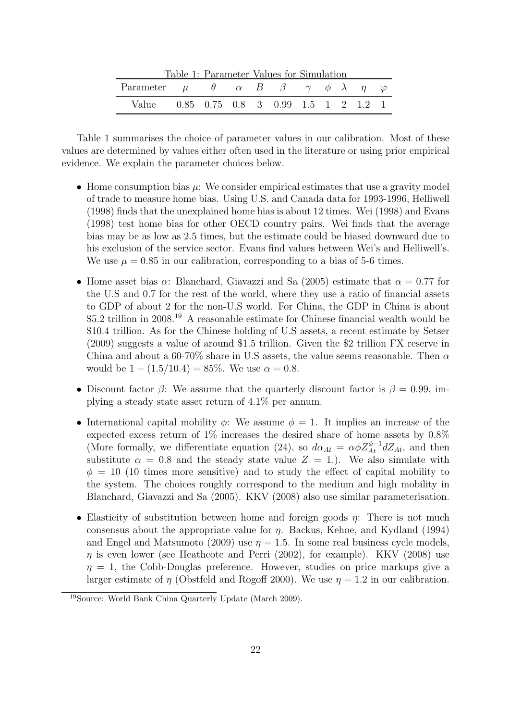| Table 1: Parameter Values for Simulation                                                 |  |  |  |  |  |  |  |  |  |
|------------------------------------------------------------------------------------------|--|--|--|--|--|--|--|--|--|
| Parameter $\mu$ $\theta$ $\alpha$ $B$ $\beta$ $\gamma$ $\phi$ $\lambda$ $\eta$ $\varphi$ |  |  |  |  |  |  |  |  |  |
| Value 0.85 0.75 0.8 3 0.99 1.5 1 2 1.2 1                                                 |  |  |  |  |  |  |  |  |  |

Table 1: Parameter Values for Simulation

Table 1 summarises the choice of parameter values in our calibration. Most of these values are determined by values either often used in the literature or using prior empirical evidence. We explain the parameter choices below.

- Home consumption bias  $\mu$ : We consider empirical estimates that use a gravity model of trade to measure home bias. Using U.S. and Canada data for 1993-1996, Helliwell (1998) finds that the unexplained home bias is about 12 times. Wei (1998) and Evans (1998) test home bias for other OECD country pairs. Wei finds that the average bias may be as low as 2.5 times, but the estimate could be biased downward due to his exclusion of the service sector. Evans find values between Wei's and Helliwell's. We use  $\mu = 0.85$  in our calibration, corresponding to a bias of 5-6 times.
- Home asset bias  $\alpha$ : Blanchard, Giavazzi and Sa (2005) estimate that  $\alpha = 0.77$  for the U.S and 0.7 for the rest of the world, where they use a ratio of financial assets to GDP of about 2 for the non-U.S world. For China, the GDP in China is about \$5.2 trillion in 2008.<sup>19</sup> A reasonable estimate for Chinese financial wealth would be \$10.4 trillion. As for the Chinese holding of U.S assets, a recent estimate by Setser (2009) suggests a value of around \$1.5 trillion. Given the \$2 trillion FX reserve in China and about a 60-70% share in U.S assets, the value seems reasonable. Then  $\alpha$ would be  $1 - (1.5/10.4) = 85\%$ . We use  $\alpha = 0.8$ .
- Discount factor  $\beta$ : We assume that the quarterly discount factor is  $\beta = 0.99$ , implying a steady state asset return of 4.1% per annum.
- International capital mobility  $\phi$ : We assume  $\phi = 1$ . It implies an increase of the expected excess return of 1% increases the desired share of home assets by 0.8% (More formally, we differentiate equation (24), so  $d\alpha_{At} = \alpha \phi Z_{At}^{\phi-1} dZ_{At}$ , and then substitute  $\alpha = 0.8$  and the steady state value  $Z = 1$ .). We also simulate with  $\phi = 10$  (10 times more sensitive) and to study the effect of capital mobility to the system. The choices roughly correspond to the medium and high mobility in Blanchard, Giavazzi and Sa (2005). KKV (2008) also use similar parameterisation.
- Elasticity of substitution between home and foreign goods  $\eta$ : There is not much consensus about the appropriate value for  $\eta$ . Backus, Kehoe, and Kydland (1994) and Engel and Matsumoto (2009) use  $\eta = 1.5$ . In some real business cycle models,  $\eta$  is even lower (see Heathcote and Perri (2002), for example). KKV (2008) use  $\eta = 1$ , the Cobb-Douglas preference. However, studies on price markups give a larger estimate of  $\eta$  (Obstfeld and Rogoff 2000). We use  $\eta = 1.2$  in our calibration.

<sup>19</sup>Source: World Bank China Quarterly Update (March 2009).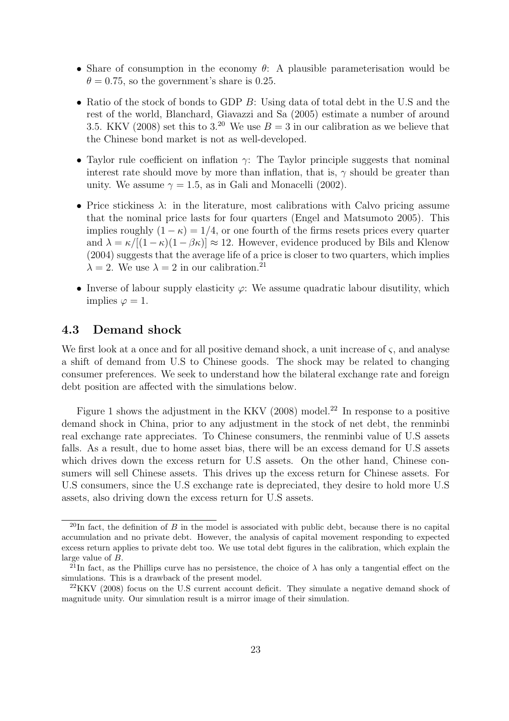- Share of consumption in the economy  $\theta$ : A plausible parameterisation would be  $\theta = 0.75$ , so the government's share is 0.25.
- Ratio of the stock of bonds to GDP B: Using data of total debt in the U.S and the rest of the world, Blanchard, Giavazzi and Sa (2005) estimate a number of around 3.5. KKV (2008) set this to 3.<sup>20</sup> We use  $B = 3$  in our calibration as we believe that the Chinese bond market is not as well-developed.
- Taylor rule coefficient on inflation  $\gamma$ : The Taylor principle suggests that nominal interest rate should move by more than inflation, that is,  $\gamma$  should be greater than unity. We assume  $\gamma = 1.5$ , as in Gali and Monacelli (2002).
- Price stickiness  $\lambda$ : in the literature, most calibrations with Calvo pricing assume that the nominal price lasts for four quarters (Engel and Matsumoto 2005). This implies roughly  $(1 - \kappa) = 1/4$ , or one fourth of the firms resets prices every quarter and  $\lambda = \kappa/[(1-\kappa)(1-\beta\kappa)] \approx 12$ . However, evidence produced by Bils and Klenow (2004) suggests that the average life of a price is closer to two quarters, which implies  $\lambda = 2$ . We use  $\lambda = 2$  in our calibration.<sup>21</sup>
- Inverse of labour supply elasticity  $\varphi$ : We assume quadratic labour disutility, which implies  $\varphi = 1$ .

### 4.3 Demand shock

We first look at a once and for all positive demand shock, a unit increase of  $\varsigma$ , and analyse a shift of demand from U.S to Chinese goods. The shock may be related to changing consumer preferences. We seek to understand how the bilateral exchange rate and foreign debt position are affected with the simulations below.

Figure 1 shows the adjustment in the KKV  $(2008)$  model.<sup>22</sup> In response to a positive demand shock in China, prior to any adjustment in the stock of net debt, the renminbi real exchange rate appreciates. To Chinese consumers, the renminbi value of U.S assets falls. As a result, due to home asset bias, there will be an excess demand for U.S assets which drives down the excess return for U.S assets. On the other hand, Chinese consumers will sell Chinese assets. This drives up the excess return for Chinese assets. For U.S consumers, since the U.S exchange rate is depreciated, they desire to hold more U.S assets, also driving down the excess return for U.S assets.

 $^{20}$ In fact, the definition of B in the model is associated with public debt, because there is no capital accumulation and no private debt. However, the analysis of capital movement responding to expected excess return applies to private debt too. We use total debt figures in the calibration, which explain the large value of  $B$ .

<sup>&</sup>lt;sup>21</sup>In fact, as the Phillips curve has no persistence, the choice of  $\lambda$  has only a tangential effect on the simulations. This is a drawback of the present model.

 $22KKV$  (2008) focus on the U.S current account deficit. They simulate a negative demand shock of magnitude unity. Our simulation result is a mirror image of their simulation.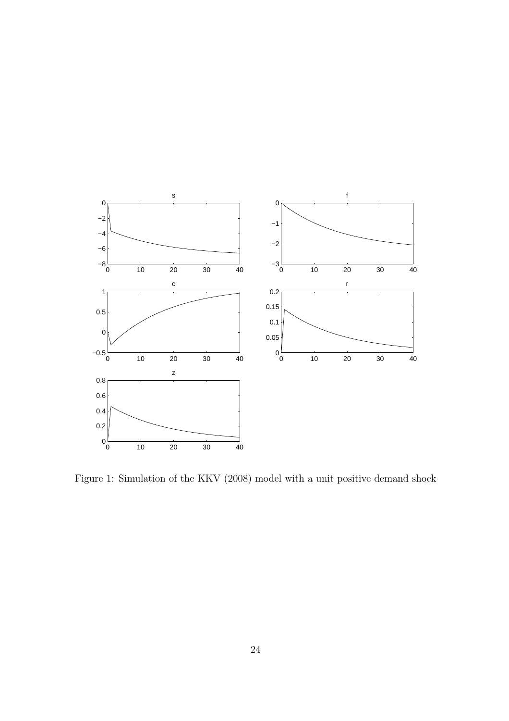

Figure 1: Simulation of the KKV (2008) model with a unit positive demand shock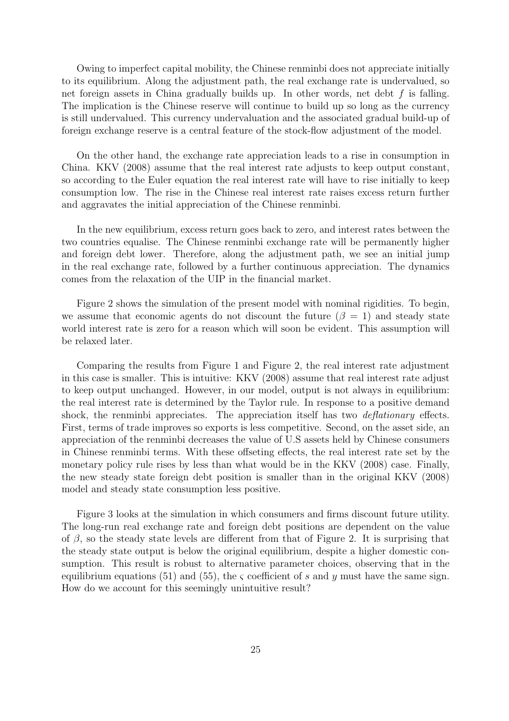Owing to imperfect capital mobility, the Chinese renminbi does not appreciate initially to its equilibrium. Along the adjustment path, the real exchange rate is undervalued, so net foreign assets in China gradually builds up. In other words, net debt f is falling. The implication is the Chinese reserve will continue to build up so long as the currency is still undervalued. This currency undervaluation and the associated gradual build-up of foreign exchange reserve is a central feature of the stock-flow adjustment of the model.

On the other hand, the exchange rate appreciation leads to a rise in consumption in China. KKV (2008) assume that the real interest rate adjusts to keep output constant, so according to the Euler equation the real interest rate will have to rise initially to keep consumption low. The rise in the Chinese real interest rate raises excess return further and aggravates the initial appreciation of the Chinese renminbi.

In the new equilibrium, excess return goes back to zero, and interest rates between the two countries equalise. The Chinese renminbi exchange rate will be permanently higher and foreign debt lower. Therefore, along the adjustment path, we see an initial jump in the real exchange rate, followed by a further continuous appreciation. The dynamics comes from the relaxation of the UIP in the financial market.

Figure 2 shows the simulation of the present model with nominal rigidities. To begin, we assume that economic agents do not discount the future ( $\beta = 1$ ) and steady state world interest rate is zero for a reason which will soon be evident. This assumption will be relaxed later.

Comparing the results from Figure 1 and Figure 2, the real interest rate adjustment in this case is smaller. This is intuitive: KKV (2008) assume that real interest rate adjust to keep output unchanged. However, in our model, output is not always in equilibrium: the real interest rate is determined by the Taylor rule. In response to a positive demand shock, the renminbi appreciates. The appreciation itself has two *deflationary* effects. First, terms of trade improves so exports is less competitive. Second, on the asset side, an appreciation of the renminbi decreases the value of U.S assets held by Chinese consumers in Chinese renminbi terms. With these offseting effects, the real interest rate set by the monetary policy rule rises by less than what would be in the KKV (2008) case. Finally, the new steady state foreign debt position is smaller than in the original KKV (2008) model and steady state consumption less positive.

Figure 3 looks at the simulation in which consumers and firms discount future utility. The long-run real exchange rate and foreign debt positions are dependent on the value of  $\beta$ , so the steady state levels are different from that of Figure 2. It is surprising that the steady state output is below the original equilibrium, despite a higher domestic consumption. This result is robust to alternative parameter choices, observing that in the equilibrium equations (51) and (55), the  $\zeta$  coefficient of s and y must have the same sign. How do we account for this seemingly unintuitive result?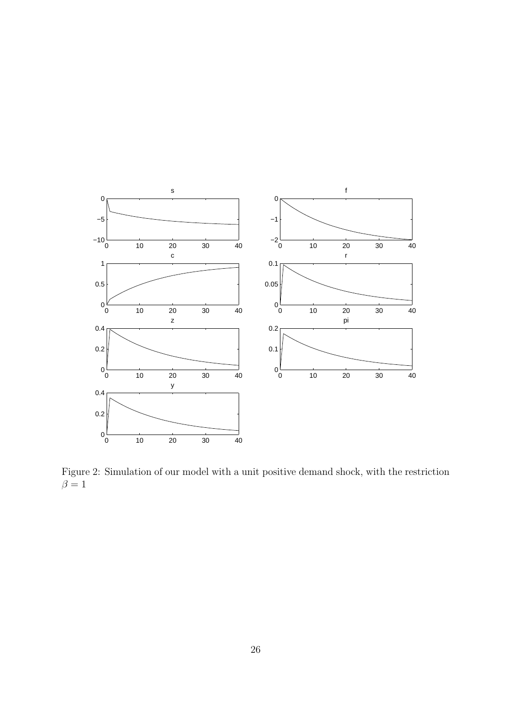

Figure 2: Simulation of our model with a unit positive demand shock, with the restriction  $\beta = 1$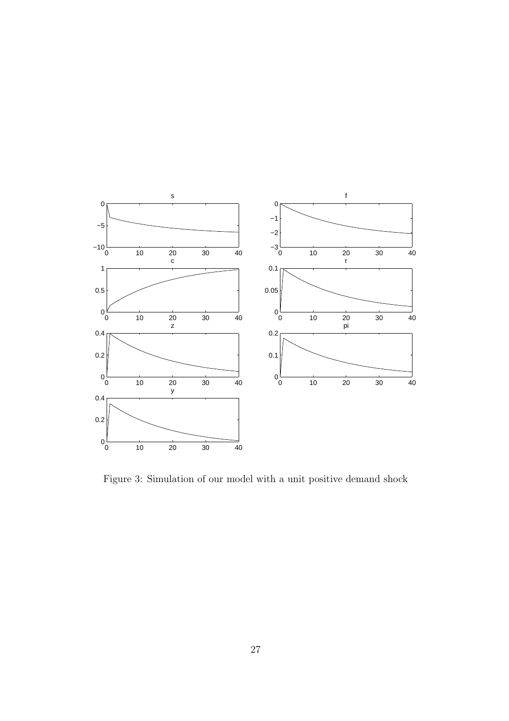

Figure 3: Simulation of our model with a unit positive demand shock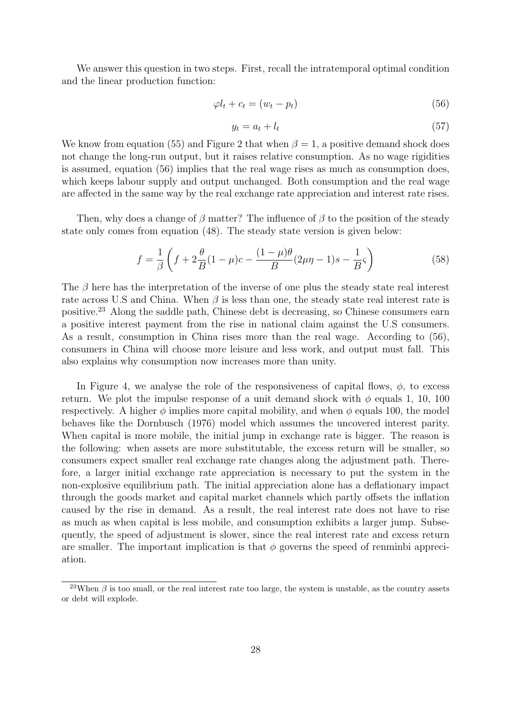We answer this question in two steps. First, recall the intratemporal optimal condition and the linear production function:

$$
\varphi l_t + c_t = (w_t - p_t) \tag{56}
$$

$$
y_t = a_t + l_t \tag{57}
$$

We know from equation (55) and Figure 2 that when  $\beta = 1$ , a positive demand shock does not change the long-run output, but it raises relative consumption. As no wage rigidities is assumed, equation (56) implies that the real wage rises as much as consumption does, which keeps labour supply and output unchanged. Both consumption and the real wage are affected in the same way by the real exchange rate appreciation and interest rate rises.

Then, why does a change of  $\beta$  matter? The influence of  $\beta$  to the position of the steady state only comes from equation (48). The steady state version is given below:

$$
f = \frac{1}{\beta} \left( f + 2 \frac{\theta}{B} (1 - \mu) c - \frac{(1 - \mu)\theta}{B} (2\mu\eta - 1)s - \frac{1}{B} \varsigma \right)
$$
(58)

The  $\beta$  here has the interpretation of the inverse of one plus the steady state real interest rate across U.S and China. When  $\beta$  is less than one, the steady state real interest rate is positive.<sup>23</sup> Along the saddle path, Chinese debt is decreasing, so Chinese consumers earn a positive interest payment from the rise in national claim against the U.S consumers. As a result, consumption in China rises more than the real wage. According to (56), consumers in China will choose more leisure and less work, and output must fall. This also explains why consumption now increases more than unity.

In Figure 4, we analyse the role of the responsiveness of capital flows,  $\phi$ , to excess return. We plot the impulse response of a unit demand shock with  $\phi$  equals 1, 10, 100 respectively. A higher  $\phi$  implies more capital mobility, and when  $\phi$  equals 100, the model behaves like the Dornbusch (1976) model which assumes the uncovered interest parity. When capital is more mobile, the initial jump in exchange rate is bigger. The reason is the following: when assets are more substitutable, the excess return will be smaller, so consumers expect smaller real exchange rate changes along the adjustment path. Therefore, a larger initial exchange rate appreciation is necessary to put the system in the non-explosive equilibrium path. The initial appreciation alone has a deflationary impact through the goods market and capital market channels which partly offsets the inflation caused by the rise in demand. As a result, the real interest rate does not have to rise as much as when capital is less mobile, and consumption exhibits a larger jump. Subsequently, the speed of adjustment is slower, since the real interest rate and excess return are smaller. The important implication is that  $\phi$  governs the speed of renminbi appreciation.

<sup>&</sup>lt;sup>23</sup>When  $\beta$  is too small, or the real interest rate too large, the system is unstable, as the country assets or debt will explode.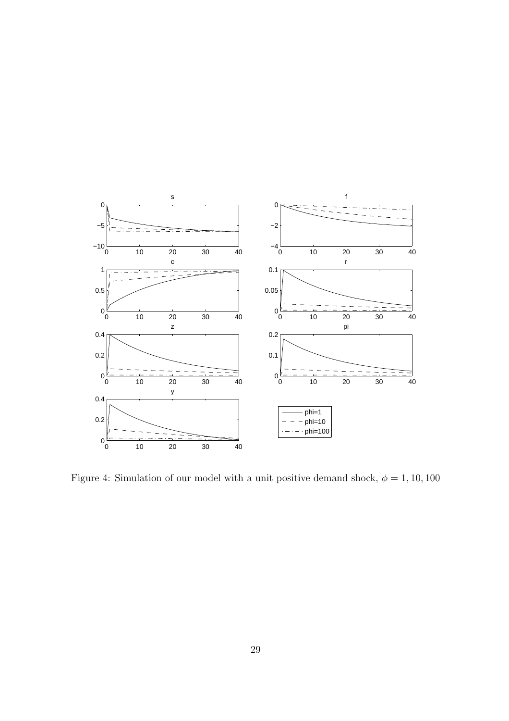

Figure 4: Simulation of our model with a unit positive demand shock,  $\phi=1,10,100$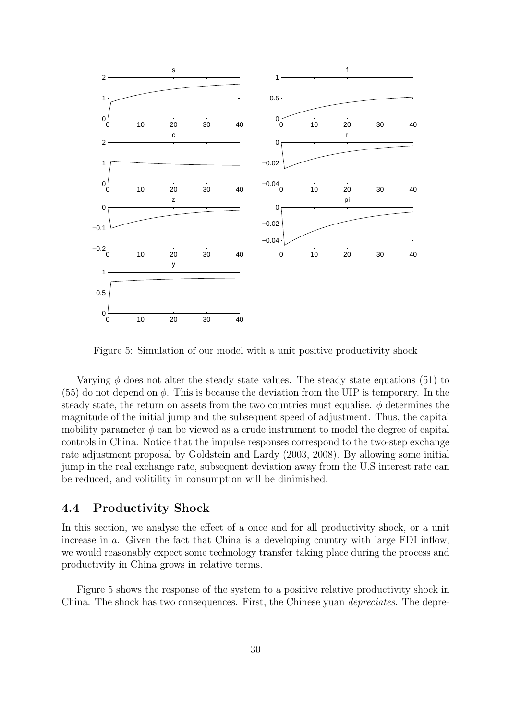

Figure 5: Simulation of our model with a unit positive productivity shock

Varying  $\phi$  does not alter the steady state values. The steady state equations (51) to (55) do not depend on  $\phi$ . This is because the deviation from the UIP is temporary. In the steady state, the return on assets from the two countries must equalise.  $\phi$  determines the magnitude of the initial jump and the subsequent speed of adjustment. Thus, the capital mobility parameter  $\phi$  can be viewed as a crude instrument to model the degree of capital controls in China. Notice that the impulse responses correspond to the two-step exchange rate adjustment proposal by Goldstein and Lardy (2003, 2008). By allowing some initial jump in the real exchange rate, subsequent deviation away from the U.S interest rate can be reduced, and volitility in consumption will be dinimished.

### 4.4 Productivity Shock

In this section, we analyse the effect of a once and for all productivity shock, or a unit increase in a. Given the fact that China is a developing country with large FDI inflow, we would reasonably expect some technology transfer taking place during the process and productivity in China grows in relative terms.

Figure 5 shows the response of the system to a positive relative productivity shock in China. The shock has two consequences. First, the Chinese yuan depreciates. The depre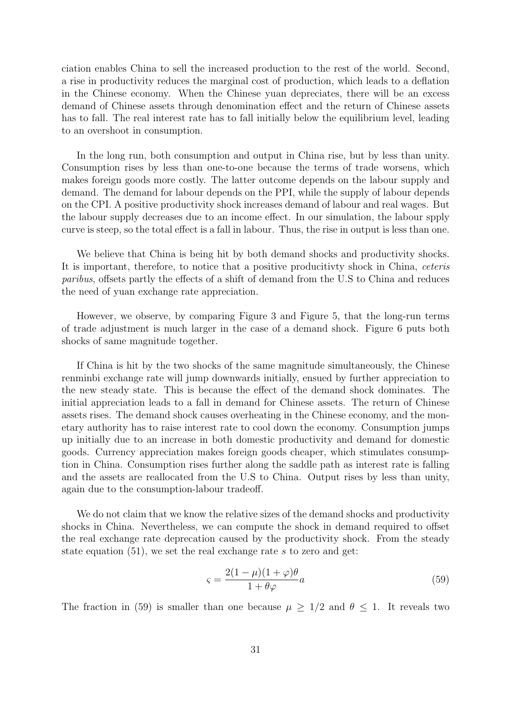ciation enables China to sell the increased production to the rest of the world. Second, a rise in productivity reduces the marginal cost of production, which leads to a deflation in the Chinese economy. When the Chinese yuan depreciates, there will be an excess demand of Chinese assets through denomination effect and the return of Chinese assets has to fall. The real interest rate has to fall initially below the equilibrium level, leading to an overshoot in consumption.

In the long run, both consumption and output in China rise, but by less than unity. Consumption rises by less than one-to-one because the terms of trade worsens, which makes foreign goods more costly. The latter outcome depends on the labour supply and demand. The demand for labour depends on the PPI, while the supply of labour depends on the CPI. A positive productivity shock increases demand of labour and real wages. But the labour supply decreases due to an income effect. In our simulation, the labour spply curve is steep, so the total effect is a fall in labour. Thus, the rise in output is less than one.

We believe that China is being hit by both demand shocks and productivity shocks. It is important, therefore, to notice that a positive producitivty shock in China, ceteris paribus, offsets partly the effects of a shift of demand from the U.S to China and reduces the need of yuan exchange rate appreciation.

However, we observe, by comparing Figure 3 and Figure 5, that the long-run terms of trade adjustment is much larger in the case of a demand shock. Figure 6 puts both shocks of same magnitude together.

If China is hit by the two shocks of the same magnitude simultaneously, the Chinese renminbi exchange rate will jump downwards initially, ensued by further appreciation to the new steady state. This is because the effect of the demand shock dominates. The initial appreciation leads to a fall in demand for Chinese assets. The return of Chinese assets rises. The demand shock causes overheating in the Chinese economy, and the monetary authority has to raise interest rate to cool down the economy. Consumption jumps up initially due to an increase in both domestic productivity and demand for domestic goods. Currency appreciation makes foreign goods cheaper, which stimulates consumption in China. Consumption rises further along the saddle path as interest rate is falling and the assets are reallocated from the U.S to China. Output rises by less than unity, again due to the consumption-labour tradeoff.

We do not claim that we know the relative sizes of the demand shocks and productivity shocks in China. Nevertheless, we can compute the shock in demand required to offset the real exchange rate deprecation caused by the productivity shock. From the steady state equation  $(51)$ , we set the real exchange rate s to zero and get:

$$
\varsigma = \frac{2(1-\mu)(1+\varphi)\theta}{1+\theta\varphi}a\tag{59}
$$

The fraction in (59) is smaller than one because  $\mu \geq 1/2$  and  $\theta \leq 1$ . It reveals two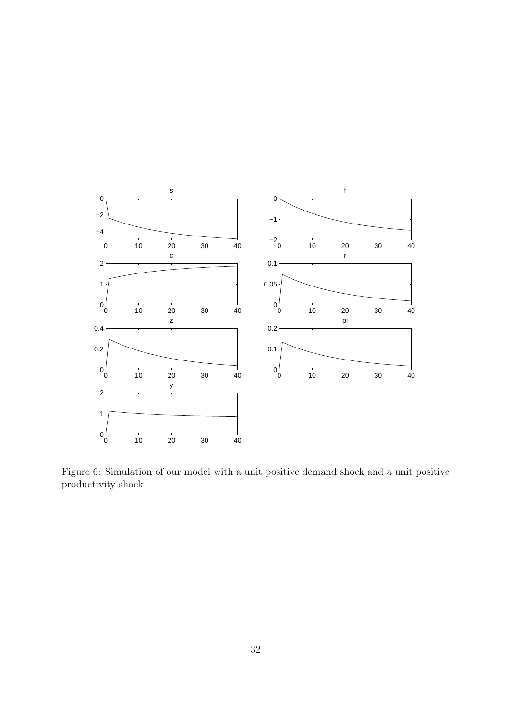

Figure 6: Simulation of our model with a unit positive demand shock and a unit positive productivity shock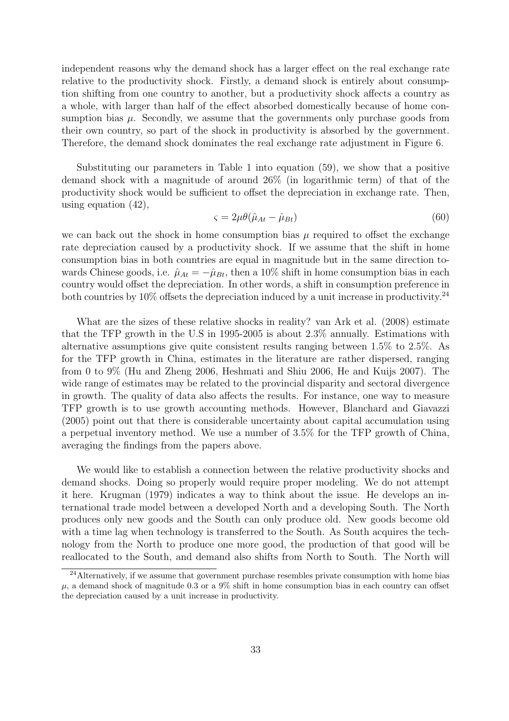independent reasons why the demand shock has a larger effect on the real exchange rate relative to the productivity shock. Firstly, a demand shock is entirely about consumption shifting from one country to another, but a productivity shock affects a country as a whole, with larger than half of the effect absorbed domestically because of home consumption bias  $\mu$ . Secondly, we assume that the governments only purchase goods from their own country, so part of the shock in productivity is absorbed by the government. Therefore, the demand shock dominates the real exchange rate adjustment in Figure 6.

Substituting our parameters in Table 1 into equation (59), we show that a positive demand shock with a magnitude of around 26% (in logarithmic term) of that of the productivity shock would be sufficient to offset the depreciation in exchange rate. Then, using equation (42),

$$
\varsigma = 2\mu\theta(\hat{\mu}_{At} - \hat{\mu}_{Bt})\tag{60}
$$

we can back out the shock in home consumption bias  $\mu$  required to offset the exchange rate depreciation caused by a productivity shock. If we assume that the shift in home consumption bias in both countries are equal in magnitude but in the same direction towards Chinese goods, i.e.  $\hat{\mu}_{At} = -\hat{\mu}_{Bt}$ , then a 10% shift in home consumption bias in each country would offset the depreciation. In other words, a shift in consumption preference in both countries by  $10\%$  offsets the depreciation induced by a unit increase in productivity.<sup>24</sup>

What are the sizes of these relative shocks in reality? van Ark et al. (2008) estimate that the TFP growth in the U.S in 1995-2005 is about 2.3% annually. Estimations with alternative assumptions give quite consistent results ranging between 1.5% to 2.5%. As for the TFP growth in China, estimates in the literature are rather dispersed, ranging from 0 to 9% (Hu and Zheng 2006, Heshmati and Shiu 2006, He and Kuijs 2007). The wide range of estimates may be related to the provincial disparity and sectoral divergence in growth. The quality of data also affects the results. For instance, one way to measure TFP growth is to use growth accounting methods. However, Blanchard and Giavazzi (2005) point out that there is considerable uncertainty about capital accumulation using a perpetual inventory method. We use a number of 3.5% for the TFP growth of China, averaging the findings from the papers above.

We would like to establish a connection between the relative productivity shocks and demand shocks. Doing so properly would require proper modeling. We do not attempt it here. Krugman (1979) indicates a way to think about the issue. He develops an international trade model between a developed North and a developing South. The North produces only new goods and the South can only produce old. New goods become old with a time lag when technology is transferred to the South. As South acquires the technology from the North to produce one more good, the production of that good will be reallocated to the South, and demand also shifts from North to South. The North will

<sup>&</sup>lt;sup>24</sup>Alternatively, if we assume that government purchase resembles private consumption with home bias  $\mu$ , a demand shock of magnitude 0.3 or a 9% shift in home consumption bias in each country can offset the depreciation caused by a unit increase in productivity.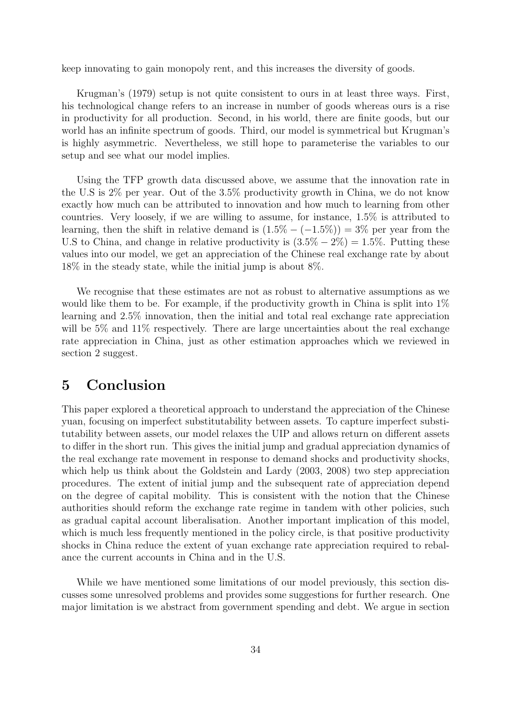keep innovating to gain monopoly rent, and this increases the diversity of goods.

Krugman's (1979) setup is not quite consistent to ours in at least three ways. First, his technological change refers to an increase in number of goods whereas ours is a rise in productivity for all production. Second, in his world, there are finite goods, but our world has an infinite spectrum of goods. Third, our model is symmetrical but Krugman's is highly asymmetric. Nevertheless, we still hope to parameterise the variables to our setup and see what our model implies.

Using the TFP growth data discussed above, we assume that the innovation rate in the U.S is 2% per year. Out of the 3.5% productivity growth in China, we do not know exactly how much can be attributed to innovation and how much to learning from other countries. Very loosely, if we are willing to assume, for instance, 1.5% is attributed to learning, then the shift in relative demand is  $(1.5\% - (-1.5\%)) = 3\%$  per year from the U.S to China, and change in relative productivity is  $(3.5\% - 2\%) = 1.5\%$ . Putting these values into our model, we get an appreciation of the Chinese real exchange rate by about 18% in the steady state, while the initial jump is about 8%.

We recognise that these estimates are not as robust to alternative assumptions as we would like them to be. For example, if the productivity growth in China is split into  $1\%$ learning and 2.5% innovation, then the initial and total real exchange rate appreciation will be 5% and 11% respectively. There are large uncertainties about the real exchange rate appreciation in China, just as other estimation approaches which we reviewed in section 2 suggest.

## 5 Conclusion

This paper explored a theoretical approach to understand the appreciation of the Chinese yuan, focusing on imperfect substitutability between assets. To capture imperfect substitutability between assets, our model relaxes the UIP and allows return on different assets to differ in the short run. This gives the initial jump and gradual appreciation dynamics of the real exchange rate movement in response to demand shocks and productivity shocks, which help us think about the Goldstein and Lardy (2003, 2008) two step appreciation procedures. The extent of initial jump and the subsequent rate of appreciation depend on the degree of capital mobility. This is consistent with the notion that the Chinese authorities should reform the exchange rate regime in tandem with other policies, such as gradual capital account liberalisation. Another important implication of this model, which is much less frequently mentioned in the policy circle, is that positive productivity shocks in China reduce the extent of yuan exchange rate appreciation required to rebalance the current accounts in China and in the U.S.

While we have mentioned some limitations of our model previously, this section discusses some unresolved problems and provides some suggestions for further research. One major limitation is we abstract from government spending and debt. We argue in section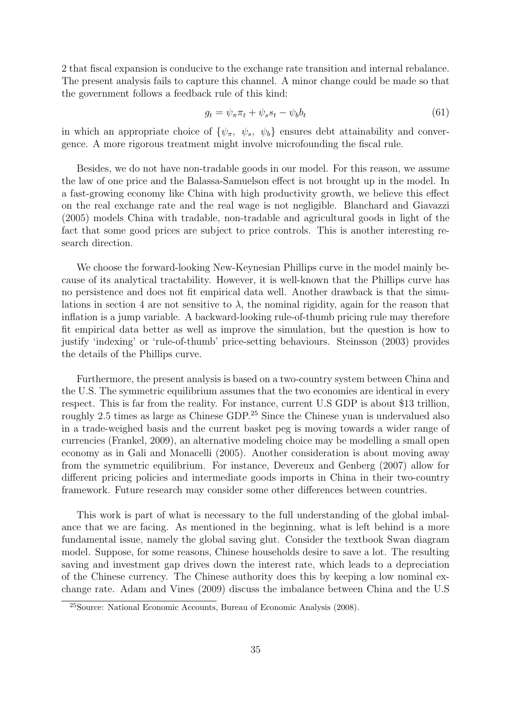2 that fiscal expansion is conducive to the exchange rate transition and internal rebalance. The present analysis fails to capture this channel. A minor change could be made so that the government follows a feedback rule of this kind:

$$
g_t = \psi_\pi \pi_t + \psi_s s_t - \psi_b b_t \tag{61}
$$

in which an appropriate choice of  $\{\psi_\pi, \psi_s, \psi_b\}$  ensures debt attainability and convergence. A more rigorous treatment might involve microfounding the fiscal rule.

Besides, we do not have non-tradable goods in our model. For this reason, we assume the law of one price and the Balassa-Samuelson effect is not brought up in the model. In a fast-growing economy like China with high productivity growth, we believe this effect on the real exchange rate and the real wage is not negligible. Blanchard and Giavazzi (2005) models China with tradable, non-tradable and agricultural goods in light of the fact that some good prices are subject to price controls. This is another interesting research direction.

We choose the forward-looking New-Keynesian Phillips curve in the model mainly because of its analytical tractability. However, it is well-known that the Phillips curve has no persistence and does not fit empirical data well. Another drawback is that the simulations in section 4 are not sensitive to  $\lambda$ , the nominal rigidity, again for the reason that inflation is a jump variable. A backward-looking rule-of-thumb pricing rule may therefore fit empirical data better as well as improve the simulation, but the question is how to justify 'indexing' or 'rule-of-thumb' price-setting behaviours. Steinsson (2003) provides the details of the Phillips curve.

Furthermore, the present analysis is based on a two-country system between China and the U.S. The symmetric equilibrium assumes that the two economies are identical in every respect. This is far from the reality. For instance, current U.S GDP is about \$13 trillion, roughly 2.5 times as large as Chinese GDP.<sup>25</sup> Since the Chinese yuan is undervalued also in a trade-weighed basis and the current basket peg is moving towards a wider range of currencies (Frankel, 2009), an alternative modeling choice may be modelling a small open economy as in Gali and Monacelli (2005). Another consideration is about moving away from the symmetric equilibrium. For instance, Devereux and Genberg (2007) allow for different pricing policies and intermediate goods imports in China in their two-country framework. Future research may consider some other differences between countries.

This work is part of what is necessary to the full understanding of the global imbalance that we are facing. As mentioned in the beginning, what is left behind is a more fundamental issue, namely the global saving glut. Consider the textbook Swan diagram model. Suppose, for some reasons, Chinese households desire to save a lot. The resulting saving and investment gap drives down the interest rate, which leads to a depreciation of the Chinese currency. The Chinese authority does this by keeping a low nominal exchange rate. Adam and Vines (2009) discuss the imbalance between China and the U.S

<sup>25</sup>Source: National Economic Accounts, Bureau of Economic Analysis (2008).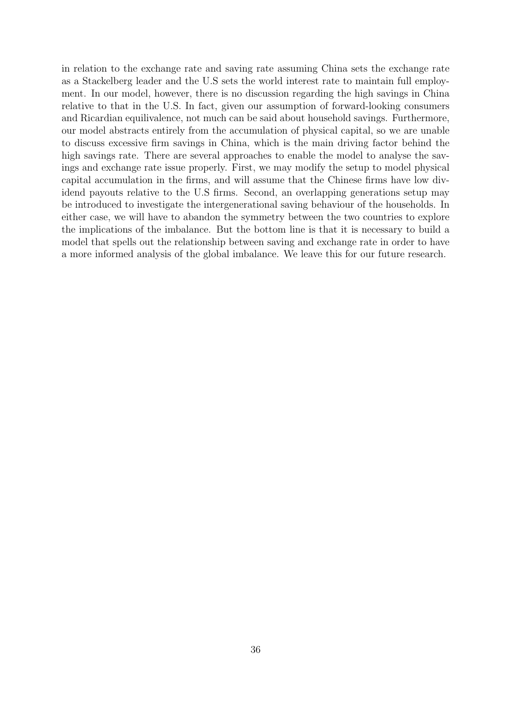in relation to the exchange rate and saving rate assuming China sets the exchange rate as a Stackelberg leader and the U.S sets the world interest rate to maintain full employment. In our model, however, there is no discussion regarding the high savings in China relative to that in the U.S. In fact, given our assumption of forward-looking consumers and Ricardian equilivalence, not much can be said about household savings. Furthermore, our model abstracts entirely from the accumulation of physical capital, so we are unable to discuss excessive firm savings in China, which is the main driving factor behind the high savings rate. There are several approaches to enable the model to analyse the savings and exchange rate issue properly. First, we may modify the setup to model physical capital accumulation in the firms, and will assume that the Chinese firms have low dividend payouts relative to the U.S firms. Second, an overlapping generations setup may be introduced to investigate the intergenerational saving behaviour of the households. In either case, we will have to abandon the symmetry between the two countries to explore the implications of the imbalance. But the bottom line is that it is necessary to build a model that spells out the relationship between saving and exchange rate in order to have a more informed analysis of the global imbalance. We leave this for our future research.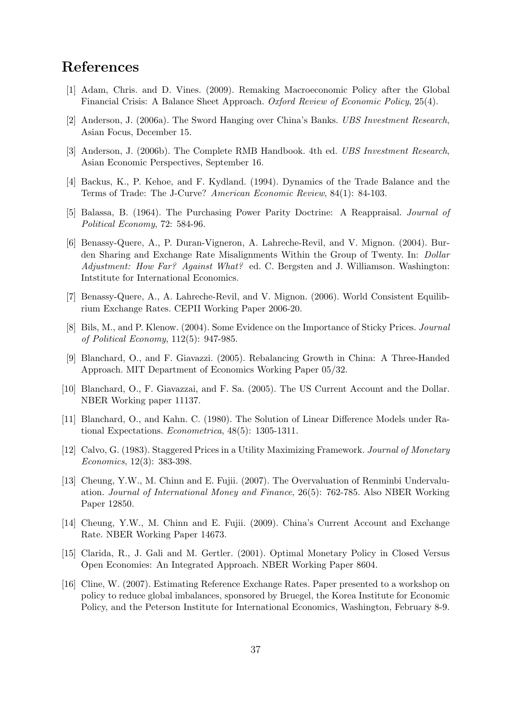## References

- [1] Adam, Chris. and D. Vines. (2009). Remaking Macroeconomic Policy after the Global Financial Crisis: A Balance Sheet Approach. Oxford Review of Economic Policy, 25(4).
- [2] Anderson, J. (2006a). The Sword Hanging over China's Banks. UBS Investment Research, Asian Focus, December 15.
- [3] Anderson, J. (2006b). The Complete RMB Handbook. 4th ed. UBS Investment Research, Asian Economic Perspectives, September 16.
- [4] Backus, K., P. Kehoe, and F. Kydland. (1994). Dynamics of the Trade Balance and the Terms of Trade: The J-Curve? American Economic Review, 84(1): 84-103.
- [5] Balassa, B. (1964). The Purchasing Power Parity Doctrine: A Reappraisal. Journal of Political Economy, 72: 584-96.
- [6] Benassy-Quere, A., P. Duran-Vigneron, A. Lahreche-Revil, and V. Mignon. (2004). Burden Sharing and Exchange Rate Misalignments Within the Group of Twenty. In: Dollar Adjustment: How Far? Against What? ed. C. Bergsten and J. Williamson. Washington: Intstitute for International Economics.
- [7] Benassy-Quere, A., A. Lahreche-Revil, and V. Mignon. (2006). World Consistent Equilibrium Exchange Rates. CEPII Working Paper 2006-20.
- [8] Bils, M., and P. Klenow. (2004). Some Evidence on the Importance of Sticky Prices. Journal of Political Economy, 112(5): 947-985.
- [9] Blanchard, O., and F. Giavazzi. (2005). Rebalancing Growth in China: A Three-Handed Approach. MIT Department of Economics Working Paper 05/32.
- [10] Blanchard, O., F. Giavazzai, and F. Sa. (2005). The US Current Account and the Dollar. NBER Working paper 11137.
- [11] Blanchard, O., and Kahn. C. (1980). The Solution of Linear Difference Models under Rational Expectations. Econometrica, 48(5): 1305-1311.
- [12] Calvo, G. (1983). Staggered Prices in a Utility Maximizing Framework. Journal of Monetary Economics, 12(3): 383-398.
- [13] Cheung, Y.W., M. Chinn and E. Fujii. (2007). The Overvaluation of Renminbi Undervaluation. Journal of International Money and Finance, 26(5): 762-785. Also NBER Working Paper 12850.
- [14] Cheung, Y.W., M. Chinn and E. Fujii. (2009). China's Current Account and Exchange Rate. NBER Working Paper 14673.
- [15] Clarida, R., J. Gali and M. Gertler. (2001). Optimal Monetary Policy in Closed Versus Open Economies: An Integrated Approach. NBER Working Paper 8604.
- [16] Cline, W. (2007). Estimating Reference Exchange Rates. Paper presented to a workshop on policy to reduce global imbalances, sponsored by Bruegel, the Korea Institute for Economic Policy, and the Peterson Institute for International Economics, Washington, February 8-9.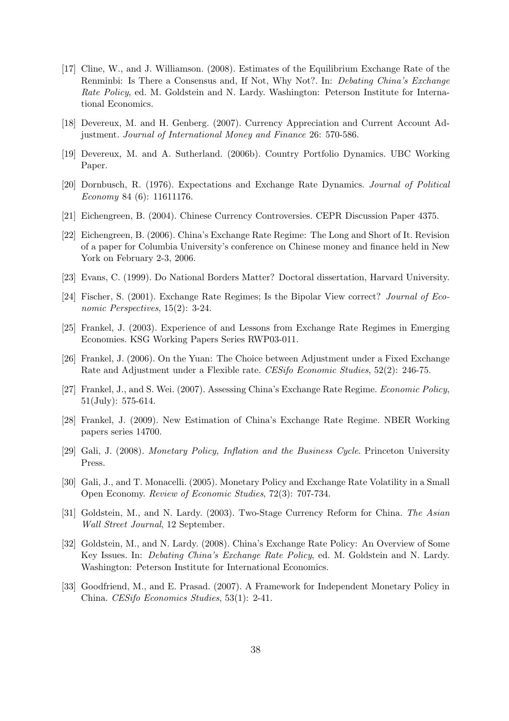- [17] Cline, W., and J. Williamson. (2008). Estimates of the Equilibrium Exchange Rate of the Renminbi: Is There a Consensus and, If Not, Why Not?. In: Debating China's Exchange Rate Policy, ed. M. Goldstein and N. Lardy. Washington: Peterson Institute for International Economics.
- [18] Devereux, M. and H. Genberg. (2007). Currency Appreciation and Current Account Adjustment. Journal of International Money and Finance 26: 570-586.
- [19] Devereux, M. and A. Sutherland. (2006b). Country Portfolio Dynamics. UBC Working Paper.
- [20] Dornbusch, R. (1976). Expectations and Exchange Rate Dynamics. Journal of Political Economy 84 (6): 11611176.
- [21] Eichengreen, B. (2004). Chinese Currency Controversies. CEPR Discussion Paper 4375.
- [22] Eichengreen, B. (2006). China's Exchange Rate Regime: The Long and Short of It. Revision of a paper for Columbia University's conference on Chinese money and finance held in New York on February 2-3, 2006.
- [23] Evans, C. (1999). Do National Borders Matter? Doctoral dissertation, Harvard University.
- [24] Fischer, S. (2001). Exchange Rate Regimes; Is the Bipolar View correct? Journal of Economic Perspectives, 15(2): 3-24.
- [25] Frankel, J. (2003). Experience of and Lessons from Exchange Rate Regimes in Emerging Economies. KSG Working Papers Series RWP03-011.
- [26] Frankel, J. (2006). On the Yuan: The Choice between Adjustment under a Fixed Exchange Rate and Adjustment under a Flexible rate. CESifo Economic Studies, 52(2): 246-75.
- [27] Frankel, J., and S. Wei. (2007). Assessing China's Exchange Rate Regime. Economic Policy, 51(July): 575-614.
- [28] Frankel, J. (2009). New Estimation of China's Exchange Rate Regime. NBER Working papers series 14700.
- [29] Gali, J. (2008). Monetary Policy, Inflation and the Business Cycle. Princeton University Press.
- [30] Gali, J., and T. Monacelli. (2005). Monetary Policy and Exchange Rate Volatility in a Small Open Economy. Review of Economic Studies, 72(3): 707-734.
- [31] Goldstein, M., and N. Lardy. (2003). Two-Stage Currency Reform for China. The Asian Wall Street Journal, 12 September.
- [32] Goldstein, M., and N. Lardy. (2008). China's Exchange Rate Policy: An Overview of Some Key Issues. In: Debating China's Exchange Rate Policy, ed. M. Goldstein and N. Lardy. Washington: Peterson Institute for International Economics.
- [33] Goodfriend, M., and E. Prasad. (2007). A Framework for Independent Monetary Policy in China. CESifo Economics Studies, 53(1): 2-41.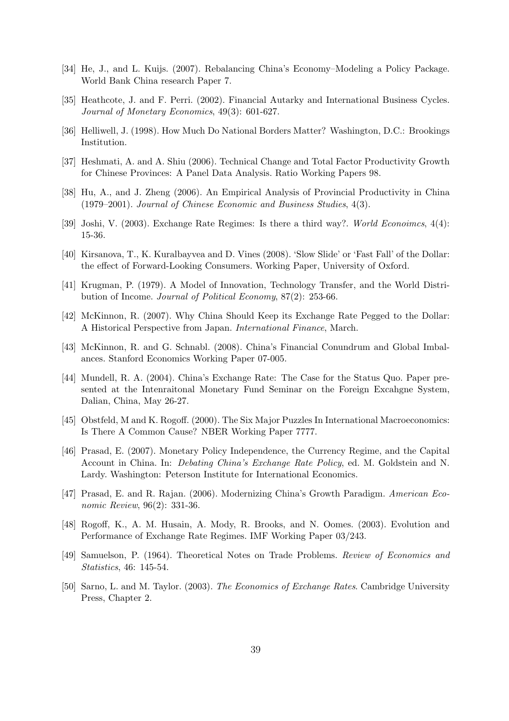- [34] He, J., and L. Kuijs. (2007). Rebalancing China's Economy–Modeling a Policy Package. World Bank China research Paper 7.
- [35] Heathcote, J. and F. Perri. (2002). Financial Autarky and International Business Cycles. Journal of Monetary Economics, 49(3): 601-627.
- [36] Helliwell, J. (1998). How Much Do National Borders Matter? Washington, D.C.: Brookings Institution.
- [37] Heshmati, A. and A. Shiu (2006). Technical Change and Total Factor Productivity Growth for Chinese Provinces: A Panel Data Analysis. Ratio Working Papers 98.
- [38] Hu, A., and J. Zheng (2006). An Empirical Analysis of Provincial Productivity in China (1979–2001). Journal of Chinese Economic and Business Studies, 4(3).
- [39] Joshi, V. (2003). Exchange Rate Regimes: Is there a third way?. World Econoimcs, 4(4): 15-36.
- [40] Kirsanova, T., K. Kuralbayvea and D. Vines (2008). 'Slow Slide' or 'Fast Fall' of the Dollar: the effect of Forward-Looking Consumers. Working Paper, University of Oxford.
- [41] Krugman, P. (1979). A Model of Innovation, Technology Transfer, and the World Distribution of Income. Journal of Political Economy, 87(2): 253-66.
- [42] McKinnon, R. (2007). Why China Should Keep its Exchange Rate Pegged to the Dollar: A Historical Perspective from Japan. International Finance, March.
- [43] McKinnon, R. and G. Schnabl. (2008). China's Financial Conundrum and Global Imbalances. Stanford Economics Working Paper 07-005.
- [44] Mundell, R. A. (2004). China's Exchange Rate: The Case for the Status Quo. Paper presented at the Intenraitonal Monetary Fund Seminar on the Foreign Excahgne System, Dalian, China, May 26-27.
- [45] Obstfeld, M and K. Rogoff. (2000). The Six Major Puzzles In International Macroeconomics: Is There A Common Cause? NBER Working Paper 7777.
- [46] Prasad, E. (2007). Monetary Policy Independence, the Currency Regime, and the Capital Account in China. In: Debating China's Exchange Rate Policy, ed. M. Goldstein and N. Lardy. Washington: Peterson Institute for International Economics.
- [47] Prasad, E. and R. Rajan. (2006). Modernizing China's Growth Paradigm. American Economic Review, 96(2): 331-36.
- [48] Rogoff, K., A. M. Husain, A. Mody, R. Brooks, and N. Oomes. (2003). Evolution and Performance of Exchange Rate Regimes. IMF Working Paper 03/243.
- [49] Samuelson, P. (1964). Theoretical Notes on Trade Problems. Review of Economics and Statistics, 46: 145-54.
- [50] Sarno, L. and M. Taylor. (2003). The Economics of Exchange Rates. Cambridge University Press, Chapter 2.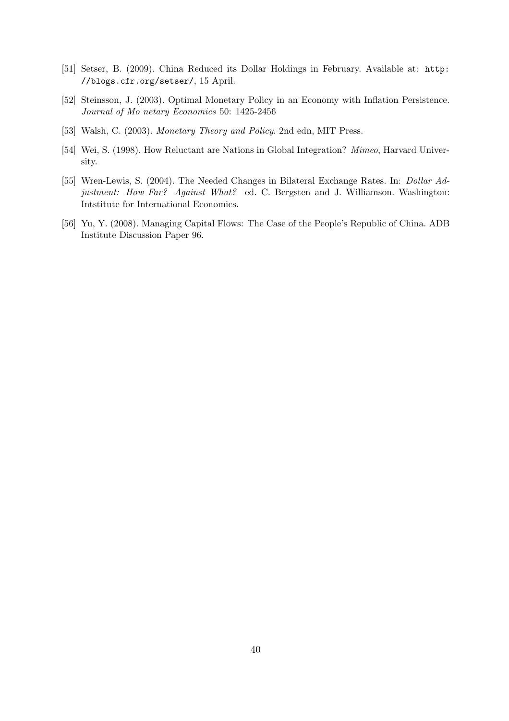- [51] Setser, B. (2009). China Reduced its Dollar Holdings in February. Available at: http: //blogs.cfr.org/setser/, 15 April.
- [52] Steinsson, J. (2003). Optimal Monetary Policy in an Economy with Inflation Persistence. Journal of Mo netary Economics 50: 1425-2456
- [53] Walsh, C. (2003). Monetary Theory and Policy. 2nd edn, MIT Press.
- [54] Wei, S. (1998). How Reluctant are Nations in Global Integration? Mimeo, Harvard University.
- [55] Wren-Lewis, S. (2004). The Needed Changes in Bilateral Exchange Rates. In: Dollar Adjustment: How Far? Against What? ed. C. Bergsten and J. Williamson. Washington: Intstitute for International Economics.
- [56] Yu, Y. (2008). Managing Capital Flows: The Case of the People's Republic of China. ADB Institute Discussion Paper 96.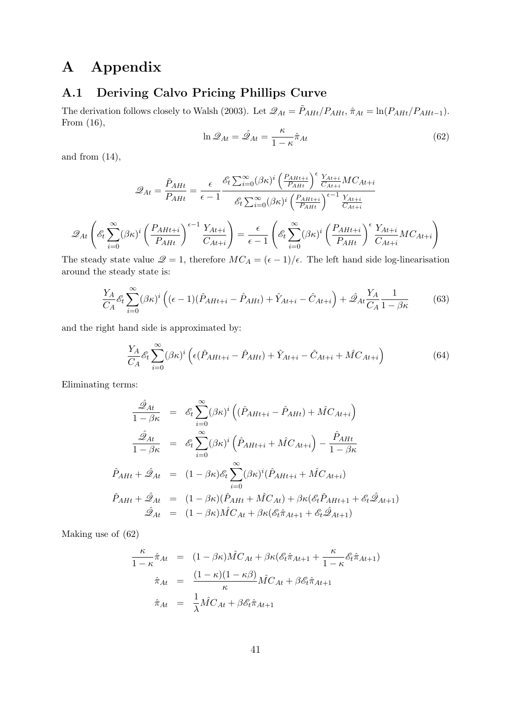## A Appendix

## A.1 Deriving Calvo Pricing Phillips Curve

The derivation follows closely to Walsh (2003). Let  $\mathcal{Q}_{At} = \tilde{P}_{AHt}/P_{AHt}$ ,  $\hat{\pi}_{At} = \ln(P_{AHt}/P_{AHt-1})$ . From (16),

$$
\ln \mathcal{Q}_{At} = \hat{\mathcal{Q}}_{At} = \frac{\kappa}{1 - \kappa} \hat{\pi}_{At}
$$
\n(62)

and from  $(14)$ ,

$$
\mathcal{Q}_{At} = \frac{\tilde{P}_{AHt}}{P_{AHt}} = \frac{\epsilon}{\epsilon - 1} \frac{\mathcal{E}_{t} \sum_{i=0}^{\infty} (\beta \kappa)^{i} \left( \frac{P_{AHt+i}}{P_{AHt}} \right)^{\epsilon} \frac{Y_{At+i}}{C_{At+i}} MC_{At+i}}{\mathcal{E}_{t} \sum_{i=0}^{\infty} (\beta \kappa)^{i} \left( \frac{P_{AHt+i}}{P_{AHt}} \right)^{\epsilon - 1} \frac{Y_{At+i}}{C_{At+i}}} \mathcal{Q}_{At} \left( \mathcal{E}_{t} \sum_{i=0}^{\infty} (\beta \kappa)^{i} \left( \frac{P_{AHt+i}}{P_{AHt}} \right)^{\epsilon - 1} \frac{Y_{At+i}}{C_{At+i}} \right) = \frac{\epsilon}{\epsilon - 1} \left( \mathcal{E}_{t} \sum_{i=0}^{\infty} (\beta \kappa)^{i} \left( \frac{P_{AHt+i}}{P_{AHt}} \right)^{\epsilon} \frac{Y_{At+i}}{C_{At+i}} MC_{At+i} \right)
$$

The steady state value  $\mathcal{Q} = 1$ , therefore  $MC_A = (\epsilon - 1)/\epsilon$ . The left hand side log-linearisation around the steady state is:

$$
\frac{Y_A}{C_A} \mathcal{E}_t \sum_{i=0}^{\infty} (\beta \kappa)^i \left( (\epsilon - 1)(\hat{P}_{AH+i} - \hat{P}_{AH}) + \hat{Y}_{At+i} - \hat{C}_{At+i} \right) + \hat{\mathcal{Q}}_{At} \frac{Y_A}{C_A} \frac{1}{1 - \beta \kappa}
$$
(63)

and the right hand side is approximated by:

$$
\frac{Y_A}{C_A} \mathcal{E}_t \sum_{i=0}^{\infty} (\beta \kappa)^i \left( \epsilon (\hat{P}_{AHt+i} - \hat{P}_{AHt}) + \hat{Y}_{At+i} - \hat{C}_{At+i} + \hat{M} C_{At+i} \right) \tag{64}
$$

Eliminating terms:

$$
\frac{\hat{\mathscr{Q}}_{At}}{1 - \beta \kappa} = \mathscr{E}_{t} \sum_{i=0}^{\infty} (\beta \kappa)^{i} \left( (\hat{P}_{AH+i} - \hat{P}_{AH}) + \hat{M} C_{At+i} \right)
$$
\n
$$
\frac{\hat{\mathscr{Q}}_{At}}{1 - \beta \kappa} = \mathscr{E}_{t} \sum_{i=0}^{\infty} (\beta \kappa)^{i} \left( \hat{P}_{AH+i} + \hat{M} C_{At+i} \right) - \frac{\hat{P}_{AH}}{1 - \beta \kappa}
$$
\n
$$
\hat{P}_{AHt} + \hat{\mathscr{Q}}_{At} = (1 - \beta \kappa) \mathscr{E}_{t} \sum_{i=0}^{\infty} (\beta \kappa)^{i} (\hat{P}_{AH+i} + \hat{M} C_{At+i})
$$
\n
$$
\hat{P}_{AHt} + \hat{\mathscr{Q}}_{At} = (1 - \beta \kappa) (\hat{P}_{AH} + \hat{M} C_{At}) + \beta \kappa (\mathscr{E}_{t} \hat{P}_{AH+1} + \mathscr{E}_{t} \hat{\mathscr{Q}}_{At+1})
$$
\n
$$
\hat{\mathscr{Q}}_{At} = (1 - \beta \kappa) \hat{M} C_{At} + \beta \kappa (\mathscr{E}_{t} \hat{\pi}_{At+1} + \mathscr{E}_{t} \hat{\mathscr{Q}}_{At+1})
$$

Making use of (62)

$$
\frac{\kappa}{1-\kappa}\hat{\pi}_{At} = (1-\beta\kappa)\hat{M}C_{At} + \beta\kappa(\mathscr{E}_{t}\hat{\pi}_{At+1} + \frac{\kappa}{1-\kappa}\mathscr{E}_{t}\hat{\pi}_{At+1})
$$
\n
$$
\hat{\pi}_{At} = \frac{(1-\kappa)(1-\kappa\beta)}{\kappa}\hat{M}C_{At} + \beta\mathscr{E}_{t}\hat{\pi}_{At+1}
$$
\n
$$
\hat{\pi}_{At} = \frac{1}{\lambda}\hat{M}C_{At} + \beta\mathscr{E}_{t}\hat{\pi}_{At+1}
$$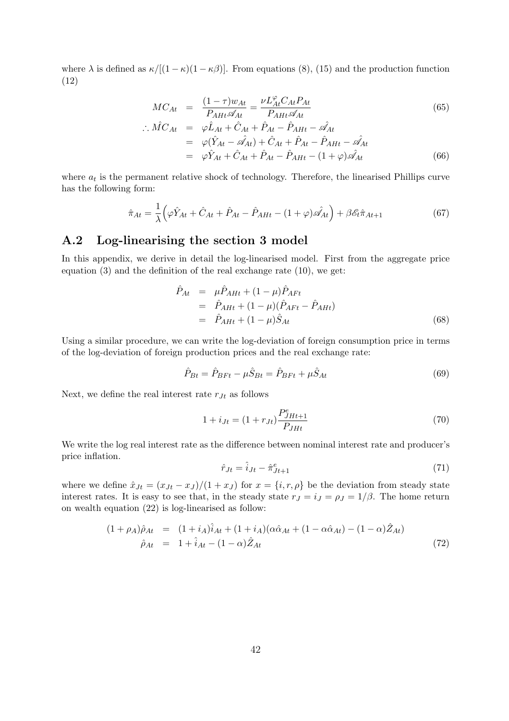where  $\lambda$  is defined as  $\kappa/[(1-\kappa)(1-\kappa\beta)]$ . From equations (8), (15) and the production function (12)

$$
MC_{At} = \frac{(1-\tau)w_{At}}{P_{AHt}\mathscr{A}_{At}} = \frac{\nu L_{At}^{\varphi}C_{At}P_{At}}{P_{AHt}\mathscr{A}_{At}}
$$
\n(65)

$$
\begin{array}{rcl}\n\therefore \hat{MC}_{At} & = & \varphi \hat{L}_{At} + \hat{C}_{At} + \hat{P}_{At} - \hat{P}_{AHt} - \hat{\mathscr{A}}_{At} \\
& = & \varphi(\hat{Y}_{At} - \hat{\mathscr{A}}_{At}) + \hat{C}_{At} + \hat{P}_{At} - \hat{P}_{AHt} - \hat{\mathscr{A}}_{At} \\
& = & \varphi \hat{Y}_{At} + \hat{C}_{At} + \hat{P}_{At} - \hat{P}_{AHt} - (1 + \varphi)\hat{\mathscr{A}}_{At}\n\end{array} \tag{66}
$$

where  $a_t$  is the permanent relative shock of technology. Therefore, the linearised Phillips curve has the following form:

$$
\hat{\pi}_{At} = \frac{1}{\lambda} \left( \varphi \hat{Y}_{At} + \hat{C}_{At} + \hat{P}_{At} - \hat{P}_{AHt} - (1 + \varphi)\hat{\mathscr{A}}_{At} \right) + \beta \mathscr{E}_{t} \hat{\pi}_{At+1}
$$
(67)

## A.2 Log-linearising the section 3 model

In this appendix, we derive in detail the log-linearised model. First from the aggregate price equation (3) and the definition of the real exchange rate (10), we get:

$$
\hat{P}_{At} = \mu \hat{P}_{AHt} + (1 - \mu) \hat{P}_{AFt} \n= \hat{P}_{AHt} + (1 - \mu) (\hat{P}_{AFt} - \hat{P}_{AHt}) \n= \hat{P}_{AHt} + (1 - \mu) \hat{S}_{At}
$$
\n(68)

Using a similar procedure, we can write the log-deviation of foreign consumption price in terms of the log-deviation of foreign production prices and the real exchange rate:

$$
\hat{P}_{Bt} = \hat{P}_{BFt} - \mu \hat{S}_{Bt} = \hat{P}_{BFt} + \mu \hat{S}_{At}
$$
\n(69)

Next, we define the real interest rate  $r_{Jt}$  as follows

$$
1 + i_{Jt} = (1 + r_{Jt}) \frac{P_{JHt+1}^e}{P_{JHt}} \tag{70}
$$

We write the log real interest rate as the difference between nominal interest rate and producer's price inflation.

$$
\hat{r}_{Jt} = \hat{i}_{Jt} - \hat{\pi}_{Jt+1}^e \tag{71}
$$

where we define  $\hat{x}_{Jt} = (x_{Jt} - x_{J})/(1 + x_{J})$  for  $x = \{i, r, \rho\}$  be the deviation from steady state interest rates. It is easy to see that, in the steady state  $r_J = i_J = \rho_J = 1/\beta$ . The home return on wealth equation (22) is log-linearised as follow:

$$
(1 + \rho_A)\hat{\rho}_{At} = (1 + i_A)\hat{i}_{At} + (1 + i_A)(\alpha \hat{\alpha}_{At} + (1 - \alpha \hat{\alpha}_{At}) - (1 - \alpha)\hat{Z}_{At})
$$
  

$$
\hat{\rho}_{At} = 1 + \hat{i}_{At} - (1 - \alpha)\hat{Z}_{At}
$$
(72)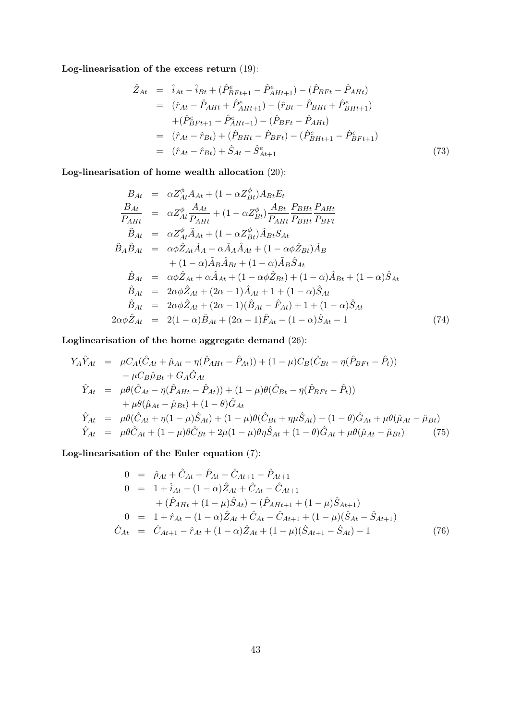Log-linearisation of the excess return (19):

$$
\hat{Z}_{At} = \hat{i}_{At} - \hat{i}_{Bt} + (\hat{P}_{BFt+1}^{e} - \hat{P}_{AHt+1}) - (\hat{P}_{BFt} - \hat{P}_{AHt}) \n= (\hat{r}_{At} - \hat{P}_{AHt} + \hat{P}_{AHt+1}^{e}) - (\hat{r}_{Bt} - \hat{P}_{BHt} + \hat{P}_{BHt+1}^{e}) \n+ (\hat{P}_{BFt+1}^{e} - \hat{P}_{AHt+1}) - (\hat{P}_{BFt} - \hat{P}_{AHt}) \n= (\hat{r}_{At} - \hat{r}_{Bt}) + (\hat{P}_{BHt} - \hat{P}_{BFt}) - (\hat{P}_{BHt+1}^{e} - \hat{P}_{BFt+1}^{e}) \n= (\hat{r}_{At} - \hat{r}_{Bt}) + \hat{S}_{At} - \hat{S}_{At+1}^{e}
$$
\n(73)

Log-linearisation of home wealth allocation (20):

$$
B_{At} = \alpha Z_{At}^{\phi} A_{At} + (1 - \alpha Z_{Bt}^{\phi}) A_{Bt} E_{t}
$$
\n
$$
\frac{B_{At}}{P_{AHt}} = \alpha Z_{At}^{\phi} \frac{A_{At}}{P_{AHt}} + (1 - \alpha Z_{Bt}^{\phi}) \frac{A_{Bt}}{P_{AHt}} \frac{P_{BHt}}{P_{BHt}} \frac{P_{AHt}}{P_{BFt}}
$$
\n
$$
\tilde{B}_{At} = \alpha Z_{At}^{\phi} \tilde{A}_{At} + (1 - \alpha Z_{Bt}^{\phi}) \tilde{A}_{Bt} S_{At}
$$
\n
$$
\tilde{B}_{A} \hat{B}_{At} = \alpha \phi \hat{Z}_{At} \tilde{A}_{A} + \alpha \tilde{A}_{A} \hat{A}_{At} + (1 - \alpha \phi \hat{Z}_{Bt}) \tilde{A}_{B}
$$
\n
$$
+ (1 - \alpha) \tilde{A}_{B} \hat{A}_{Bt} + (1 - \alpha) \tilde{A}_{B} \hat{S}_{At}
$$
\n
$$
\hat{B}_{At} = \alpha \phi \hat{Z}_{At} + \alpha \hat{A}_{At} + (1 - \alpha \phi \hat{Z}_{Bt}) + (1 - \alpha) \hat{A}_{Bt} + (1 - \alpha) \hat{S}_{At}
$$
\n
$$
\hat{B}_{At} = 2\alpha \phi \hat{Z}_{At} + (2\alpha - 1) \hat{A}_{At} + 1 + (1 - \alpha) \hat{S}_{At}
$$
\n
$$
\hat{B}_{At} = 2\alpha \phi \hat{Z}_{At} + (2\alpha - 1) (\hat{B}_{At} - \hat{F}_{At}) + 1 + (1 - \alpha) \hat{S}_{At}
$$
\n
$$
2\alpha \phi \hat{Z}_{At} = 2(1 - \alpha) \hat{B}_{At} + (2\alpha - 1) \hat{F}_{At} - (1 - \alpha) \hat{S}_{At} - 1
$$
\n(74)

Loglinearisation of the home aggregate demand (26):

$$
Y_{A}\hat{Y}_{At} = \mu C_{A}(\hat{C}_{At} + \hat{\mu}_{At} - \eta(\hat{P}_{AH} - \hat{P}_{At})) + (1 - \mu)C_{B}(\hat{C}_{Bt} - \eta(\hat{P}_{BFt} - \hat{P}_{t})) - \mu C_{B}\hat{\mu}_{Bt} + G_{A}\hat{G}_{At} \n\hat{Y}_{At} = \mu\theta(\hat{C}_{At} - \eta(\hat{P}_{AH} - \hat{P}_{At})) + (1 - \mu)\theta(\hat{C}_{Bt} - \eta(\hat{P}_{BFt} - \hat{P}_{t})) + \mu\theta(\hat{\mu}_{At} - \hat{\mu}_{Bt}) + (1 - \theta)\hat{G}_{At} \n\hat{Y}_{At} = \mu\theta(\hat{C}_{At} + \eta(1 - \mu)\hat{S}_{At}) + (1 - \mu)\theta(\hat{C}_{Bt} + \eta\mu\hat{S}_{At}) + (1 - \theta)\hat{G}_{At} + \mu\theta(\hat{\mu}_{At} - \hat{\mu}_{Bt}) \n\hat{Y}_{At} = \mu\theta\hat{C}_{At} + (1 - \mu)\theta\hat{C}_{Bt} + 2\mu(1 - \mu)\theta\eta\hat{S}_{At} + (1 - \theta)\hat{G}_{At} + \mu\theta(\hat{\mu}_{At} - \hat{\mu}_{Bt})
$$
\n(75)

Log-linearisation of the Euler equation (7):

$$
0 = \hat{\rho}_{At} + \hat{C}_{At} + \hat{P}_{At} - \hat{C}_{At+1} - \hat{P}_{At+1}
$$
  
\n
$$
0 = 1 + \hat{i}_{At} - (1 - \alpha)\hat{Z}_{At} + \hat{C}_{At} - \hat{C}_{At+1}
$$
  
\n
$$
+ (\hat{P}_{AH} + (1 - \mu)\hat{S}_{At}) - (\hat{P}_{AH+1} + (1 - \mu)\hat{S}_{At+1})
$$
  
\n
$$
0 = 1 + \hat{r}_{At} - (1 - \alpha)\hat{Z}_{At} + \hat{C}_{At} - \hat{C}_{At+1} + (1 - \mu)(\hat{S}_{At} - \hat{S}_{At+1})
$$
  
\n
$$
\hat{C}_{At} = \hat{C}_{At+1} - \hat{r}_{At} + (1 - \alpha)\hat{Z}_{At} + (1 - \mu)(\hat{S}_{At+1} - \hat{S}_{At}) - 1
$$
(76)